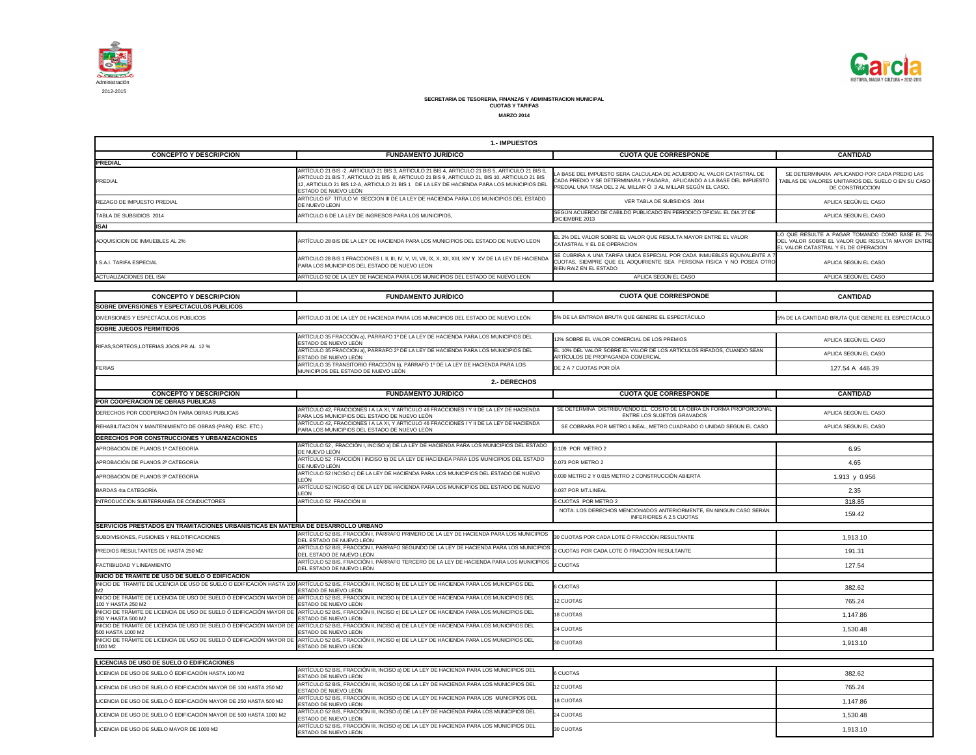

|                                                                                                                                 | 1.- IMPUESTOS                                                                                                                                                                                                                                                                                                         |                                                                                                                                                                                                                  |                                                                                                                                            |
|---------------------------------------------------------------------------------------------------------------------------------|-----------------------------------------------------------------------------------------------------------------------------------------------------------------------------------------------------------------------------------------------------------------------------------------------------------------------|------------------------------------------------------------------------------------------------------------------------------------------------------------------------------------------------------------------|--------------------------------------------------------------------------------------------------------------------------------------------|
| <b>CONCEPTO Y DESCRIPCION</b><br><b>PREDIAL</b>                                                                                 | <b>FUNDAMENTO JURÍDICO</b>                                                                                                                                                                                                                                                                                            | <b>CUOTA QUE CORRESPONDE</b>                                                                                                                                                                                     | <b>CANTIDAD</b>                                                                                                                            |
| <b>PREDIAL</b>                                                                                                                  | ARTÍCULO 21 BIS -2. ARTICULO 21 BIS 3, ARTICULO 21 BIS 4, ARTICULO 21 BIS 5, ARTICULO 21 BIS 6.<br>ARTICULO 21 BIS 7, ARTICULO 21 BIS 8, ARTICULO 21 BIS 9, ARTICULO 21, BIS 10, ARTICULO 21 BIS<br>12, ARTICULO 21 BIS 12-A, ARTICULO 21 BIS 1 DE LA LEY DE HACIENDA PARA LOS MUNICIPIOS DEL<br>ESTADO DE NUEVO LEÓN | LA BASE DEL IMPUESTO SERA CALCULADA DE ACUERDO AL VALOR CATASTRAL DE<br>CADA PREDIO Y SE DETERMINARA Y PAGARA, APLICANDO A LA BASE DEL IMPUESTO<br>PREDIAL UNA TASA DEL 2 AL MILLAR Ó 3 AL MILLAR SEGÚN EL CASO. | SE DETERMINARA APLICANDO POR CADA PREDIO LAS<br>TABLAS DE VALORES UNITARIOS DEL SUELO O EN SU CASO<br>DE CONSTRUCCION                      |
| REZAGO DE IMPUESTO PREDIAL                                                                                                      | ARTICULO 67 TITULO VI SECCION III DE LA LEY DE HACIENDA PARA LOS MUNICIPIOS DEL ESTADO<br>DE NUEVO LEON                                                                                                                                                                                                               | VER TABLA DE SUBSIDIOS 2014                                                                                                                                                                                      | APLICA SEGÚN EL CASO                                                                                                                       |
| TABLA DE SUBSIDIOS 2014                                                                                                         | ARTICULO 6 DE LA LEY DE INGRESOS PARA LOS MUNICIPIOS,                                                                                                                                                                                                                                                                 | SEGÚN ACUERDO DE CABILDO PUBLICADO EN PERIODICO OFICIAL EL DIA 27 DE<br>DICIEMBRE 2013                                                                                                                           | APLICA SEGÚN EL CASO                                                                                                                       |
| <b>ISAI</b>                                                                                                                     |                                                                                                                                                                                                                                                                                                                       |                                                                                                                                                                                                                  |                                                                                                                                            |
| ADQUISICION DE INMUEBLES AL 2%                                                                                                  | ARTÍCULO 28 BIS DE LA LEY DE HACIENDA PARA LOS MUNICIPIOS DEL ESTADO DE NUEVO LEON                                                                                                                                                                                                                                    | EL 2% DEL VALOR SOBRE EL VALOR QUE RESULTA MAYOR ENTRE EL VALOR<br>CATASTRAL Y EL DE OPERACION                                                                                                                   | LO QUE RESULTE A PAGAR TOMANDO COMO BASE EL 2%<br>DEL VALOR SOBRE EL VALOR QUE RESULTA MAYOR ENTRE<br>EL VALOR CATASTRAL Y EL DE OPERACION |
| I.S.A.I. TARIFA ESPECIAL                                                                                                        | PARA LOS MUNICIPIOS DEL ESTADO DE NUEVO LEON                                                                                                                                                                                                                                                                          | SE CUBRIRA A UNA TARIFA UNICA ESPECIAL POR CADA INMUEBLES EQUIVALENTE A<br>CUOTAS, SIEMPRE QUE EL ADQUIRIENTE SEA PERSONA FISICA Y NO POSEA OTRO<br>BIEN RAIZ EN EL ESTADO                                       | APLICA SEGÚN EL CASO                                                                                                                       |
| <b>ACTUALIZACIONES DEL ISAI</b>                                                                                                 | ARTICULO 92 DE LA LEY DE HACIENDA PARA LOS MUNICIPIOS DEL ESTADO DE NUEVO LEON                                                                                                                                                                                                                                        | APLICA SEGÚN EL CASO                                                                                                                                                                                             | APLICA SEGÚN EL CASO                                                                                                                       |
|                                                                                                                                 |                                                                                                                                                                                                                                                                                                                       |                                                                                                                                                                                                                  |                                                                                                                                            |
| <b>CONCEPTO Y DESCRIPCION</b><br>SOBRE DIVERSIONES Y ESPECTACULOS PUBLICOS                                                      | <b>FUNDAMENTO JURÍDICO</b>                                                                                                                                                                                                                                                                                            | <b>CUOTA QUE CORRESPONDE</b>                                                                                                                                                                                     | <b>CANTIDAD</b>                                                                                                                            |
| DIVERSIONES Y ESPECTÁCULOS PÚBLICOS                                                                                             | ARTÍCULO 31 DE LA LEY DE HACIENDA PARA LOS MUNICIPIOS DEL ESTADO DE NUEVO LEÓN                                                                                                                                                                                                                                        | 5% DE LA ENTRADA BRUTA QUE GENERE EL ESPECTÁCULO                                                                                                                                                                 | 5% DE LA CANTIDAD BRUTA QUE GENERE EL ESPECTÁCULO                                                                                          |
| <b>SOBRE JUEGOS PERMITIDOS</b>                                                                                                  |                                                                                                                                                                                                                                                                                                                       |                                                                                                                                                                                                                  |                                                                                                                                            |
|                                                                                                                                 | ARTÍCULO 35 FRACCIÓN a), PÁRRAFO 1º DE LA LEY DE HACIENDA PARA LOS MUNICIPIOS DEL<br>ESTADO DE NUEVO LEÓN                                                                                                                                                                                                             | 12% SOBRE EL VALOR COMERCIAL DE LOS PREMIOS                                                                                                                                                                      | APLICA SEGÚN EL CASO                                                                                                                       |
| RIFAS, SORTEOS, LOTERIAS JGOS. PR AL 12 %                                                                                       | ARTÍCULO 35 FRACCIÓN a), PÁRRAFO 2º DE LA LEY DE HACIENDA PARA LOS MUNICIPIOS DEL<br>ESTADO DE NUEVO LEÓN                                                                                                                                                                                                             | EL 10% DEL VALOR SOBRE EL VALOR DE LOS ARTÍCULOS RIFADOS, CUANDO SEAN<br>ARTÍCULOS DE PROPAGANDA COMERCIAL                                                                                                       | APLICA SEGÚN EL CASO                                                                                                                       |
| <b>FERIAS</b>                                                                                                                   | ARTÍCULO 35 TRANSITORIO FRACCIÓN b), PÁRRAFO 1º DE LA LEY DE HACIENDA PARA LOS<br>MUNICIPIOS DEL ESTADO DE NUEVO LEÓN                                                                                                                                                                                                 | DE 2 A 7 CUOTAS POR DÍA                                                                                                                                                                                          | 127.54 A 446.39                                                                                                                            |
|                                                                                                                                 | 2.- DERECHOS                                                                                                                                                                                                                                                                                                          |                                                                                                                                                                                                                  |                                                                                                                                            |
| <b>CONCEPTO Y DESCRIPCION</b>                                                                                                   | <b>FUNDAMENTO JURÍDICO</b>                                                                                                                                                                                                                                                                                            | <b>CUOTA QUE CORRESPONDE</b>                                                                                                                                                                                     | <b>CANTIDAD</b>                                                                                                                            |
| POR COOPERACION DE OBRAS PUBLICAS                                                                                               | ARTÍCULO 42, FRACCIONES I A LA XI, Y ARTICULO 46 FRACCIONES I Y II DE LA LEY DE HACIENDA                                                                                                                                                                                                                              | SE DETERMINA DISTRIBUYENDO EL COSTO DE LA OBRA EN FORMA PROPORCIONAL                                                                                                                                             |                                                                                                                                            |
| DERECHOS POR COOPERACIÓN PARA OBRAS PUBLICAS                                                                                    | PARA LOS MUNICIPIOS DEL ESTADO DE NUEVO LEÓN<br>ARTÍCULO 42, FRACCIONES I A LA XI, Y ARTICULO 46 FRACCIONES I Y II DE LA LEY DE HACIENDA                                                                                                                                                                              | ENTRE LOS SUJETOS GRAVADOS                                                                                                                                                                                       | APLICA SEGÚN EL CASO                                                                                                                       |
| REHABILITACIÓN Y MANTENIMIENTO DE OBRAS (PARQ. ESC. ETC.)                                                                       | PARA LOS MUNICIPIOS DEL ESTADO DE NUEVO LEÓN                                                                                                                                                                                                                                                                          | SE COBRARA POR METRO LINEAL, METRO CUADRADO O UNIDAD SEGÚN EL CASO                                                                                                                                               | APLICA SEGÚN EL CASO                                                                                                                       |
| DERECHOS POR CONSTRUCCIONES Y URBANIZACIONES<br>APROBACIÓN DE PLANOS 1ª CATEGORÍA                                               | ARTÍCULO 52, FRACCIÓN I, INCISO a) DE LA LEY DE HACIENDA PARA LOS MUNICIPIOS DEL ESTADO                                                                                                                                                                                                                               | 0.109 POR METRO 2                                                                                                                                                                                                | 6.95                                                                                                                                       |
|                                                                                                                                 | DE NUEVO LEÓN<br>ARTÍCULO 52 FRACCIÓN I INCISO b) DE LA LEY DE HACIENDA PARA LOS MUNICIPIOS DEL ESTADO                                                                                                                                                                                                                | 0.073 POR METRO 2                                                                                                                                                                                                |                                                                                                                                            |
| APROBACIÓN DE PLANOS 2ª CATEGORÍA                                                                                               | DE NUEVO LEÓN<br>ARTÍCULO 52 INCISO c) DE LA LEY DE HACIENDA PARA LOS MUNICIPIOS DEL ESTADO DE NUEVO                                                                                                                                                                                                                  |                                                                                                                                                                                                                  | 4.65                                                                                                                                       |
| APROBACIÓN DE PLANOS 3ª CATEGORÍA                                                                                               | LEÓN<br>ARTÍCULO 52 INCISO d) DE LA LEY DE HACIENDA PARA LOS MUNICIPIOS DEL ESTADO DE NUEVO                                                                                                                                                                                                                           | 0.030 METRO 2 Y 0.015 METRO 2 CONSTRUCCIÓN ABIERTA                                                                                                                                                               | 1.913 y 0.956                                                                                                                              |
| BARDAS 4ta CATEGORÍA                                                                                                            | LEÓN                                                                                                                                                                                                                                                                                                                  | 0.037 POR MT.LINEAL                                                                                                                                                                                              | 2.35                                                                                                                                       |
| INTRODUCCIÓN SUBTERRANEA DE CONDUCTORES                                                                                         | ARTÍCULO 52 FRACCIÓN III                                                                                                                                                                                                                                                                                              | 5 CUOTAS POR METRO 2<br>NOTA: LOS DERECHOS MENCIONADOS ANTERIORMENTE, EN NINGÚN CASO SERÁN                                                                                                                       | 318.85                                                                                                                                     |
|                                                                                                                                 |                                                                                                                                                                                                                                                                                                                       | <b>INFERIORES A 2.5 CUOTAS</b>                                                                                                                                                                                   | 159.42                                                                                                                                     |
| SERVICIOS PRESTADOS EN TRAMITACIONES URBANISTICAS EN MATERIA DE DESARROLLO URBANO<br>SUBDIVISIONES, FUSIONES Y RELOTIFICACIONES | ARTÍCULO 52 BIS, FRACCIÓN I, PÁRRAFO PRIMERO DE LA LEY DE HACIENDA PARA LOS MUNICIPIOS                                                                                                                                                                                                                                | 30 CUOTAS POR CADA LOTE Ó FRACCIÓN RESULTANTE                                                                                                                                                                    |                                                                                                                                            |
|                                                                                                                                 | DEL ESTADO DE NUEVO LEÓN<br>ARTÍCULO 52 BIS, FRACCIÓN I, PÁRRAFO SEGUNDO DE LA LEY DE HACIENDA PARA LOS MUNICIPIO                                                                                                                                                                                                     |                                                                                                                                                                                                                  | 1,913.10                                                                                                                                   |
| PREDIOS RESULTANTES DE HASTA 250 M2                                                                                             | DEL ESTADO DE NUEVO LEÓN<br>ARTÍCULO 52 BIS, FRACCIÓN I, PÁRRAFO TERCERO DE LA LEY DE HACIENDA PARA LOS MUNICIPIOS                                                                                                                                                                                                    | 3 CUOTAS POR CADA LOTE Ó FRACCIÓN RESULTANTE                                                                                                                                                                     | 191.31                                                                                                                                     |
| FACTIBILIDAD Y LINEAMIENTO                                                                                                      | DEL ESTADO DE NUEVO LEÓN                                                                                                                                                                                                                                                                                              | 2 CUOTAS                                                                                                                                                                                                         | 127.54                                                                                                                                     |
| INICIO DE TRAMITE DE USO DE SUELO O EDIFICACION                                                                                 | INICIO DE TRAMITE DE LICENCIA DE USO DE SUELO O EDIFICACIÓN HASTA 100 ARTÍCULO 52 BIS, FRACCIÓN II, INCISO b) DE LA LEY DE HACIENDA PARA LOS MUNICIPIOS DEL                                                                                                                                                           | <b>6 CUOTAS</b>                                                                                                                                                                                                  | 382.62                                                                                                                                     |
| M2                                                                                                                              | ESTADO DE NUEVO LEÓN<br>INICIO DE TRÁMITE DE LICENCIA DE USO DE SUELO Ó EDIFICACIÓN MAYOR DE NATÍCULO 52 BIS, FRACCIÓN II, INCISO b) DE LA LEY DE HACIENDA PARA LOS MUNICIPIOS DEL                                                                                                                                    | 12 CUOTAS                                                                                                                                                                                                        | 765.24                                                                                                                                     |
| 100 Y HASTA 250 M2<br>INICIO DE TRÁMITE DE LICENCIA DE USO DE SUELO Ó EDIFICACIÓN MAYOR DE                                      | ESTADO DE NUEVO LEÓN<br>ARTÍCULO 52 BIS, FRACCIÓN II, INCISO c) DE LA LEY DE HACIENDA PARA LOS MUNICIPIOS DEL                                                                                                                                                                                                         | 18 CUOTAS                                                                                                                                                                                                        | 1,147.86                                                                                                                                   |
| 250 Y HASTA 500 M2                                                                                                              | ESTADO DE NUEVO LEÓN<br>INICIO DE TRÁMITE DE LICENCIA DE USO DE SUELO Ó EDIFICACIÓN MAYOR DE ARTÍCULO 52 BIS, FRACCIÓN II, INCISO d) DE LA LEY DE HACIENDA PARA LOS MUNICIPIOS DEL                                                                                                                                    |                                                                                                                                                                                                                  |                                                                                                                                            |
| 500 HASTA 1000 M2<br>INICIO DE TRÁMITE DE LICENCIA DE USO DE SUELO Ó EDIFICACIÓN MAYOR DE                                       | ESTADO DE NUEVO LEÓN<br>ARTÍCULO 52 BIS, FRACCIÓN II, INCISO e) DE LA LEY DE HACIENDA PARA LOS MUNICIPIOS DEL                                                                                                                                                                                                         | 24 CUOTAS                                                                                                                                                                                                        | 1,530.48                                                                                                                                   |
| 1000 M2                                                                                                                         | ESTADO DE NUEVO LEÓN                                                                                                                                                                                                                                                                                                  | 30 CUOTAS                                                                                                                                                                                                        | 1,913.10                                                                                                                                   |
| <b>LICENCIAS DE USO DE SUELO O EDIFICACIONES</b>                                                                                |                                                                                                                                                                                                                                                                                                                       |                                                                                                                                                                                                                  |                                                                                                                                            |
| LICENCIA DE USO DE SUELO Ó EDIFICACIÓN HASTA 100 M2                                                                             | ARTÍCULO 52 BIS, FRACCIÓN III, INCISO a) DE LA LEY DE HACIENDA PARA LOS MUNICIPIOS DEL<br>ESTADO DE NUEVO LEÓN                                                                                                                                                                                                        | 6 CUOTAS                                                                                                                                                                                                         | 382.62                                                                                                                                     |
| LICENCIA DE USO DE SUELO Ó EDIFICACIÓN MAYOR DE 100 HASTA 250 M2                                                                | ARTÍCULO 52 BIS, FRACCIÓN III, INCISO b) DE LA LEY DE HACIENDA PARA LOS MUNICIPIOS DEL<br>ESTADO DE NUEVO LEÓN                                                                                                                                                                                                        | 12 CUOTAS                                                                                                                                                                                                        | 765.24                                                                                                                                     |
| LICENCIA DE USO DE SUELO Ó EDIFICACIÓN MAYOR DE 250 HASTA 500 M2                                                                | ARTÍCULO 52 BIS, FRACCIÓN III, INCISO c) DE LA LEY DE HACIENDA PARA LOS MUNICIPIOS DEL<br>ESTADO DE NUEVO LEÓN                                                                                                                                                                                                        | 18 CUOTAS                                                                                                                                                                                                        | 1,147.86                                                                                                                                   |
| LICENCIA DE USO DE SUELO Ó EDIFICACIÓN MAYOR DE 500 HASTA 1000 M2                                                               | ARTÍCULO 52 BIS, FRACCIÓN III, INCISO d) DE LA LEY DE HACIENDA PARA LOS MUNICIPIOS DEL<br>ESTADO DE NUEVO LEÓN                                                                                                                                                                                                        | 24 CUOTAS                                                                                                                                                                                                        | 1,530.48                                                                                                                                   |

## **SECRETARIA DE TESORERIA, FINANZAS Y ADMINISTRACION MUNICIPAL CUOTAS Y TARIFAS MARZO 2014**

|                                                                                   | טט ו טבועודי                                                                                                                                                                                                                                                                                                         |                                                                                                                                                                                                                  |                                                                                                                                            |
|-----------------------------------------------------------------------------------|----------------------------------------------------------------------------------------------------------------------------------------------------------------------------------------------------------------------------------------------------------------------------------------------------------------------|------------------------------------------------------------------------------------------------------------------------------------------------------------------------------------------------------------------|--------------------------------------------------------------------------------------------------------------------------------------------|
| <b>CONCEPTO Y DESCRIPCION</b>                                                     | <b>FUNDAMENTO JURÍDICO</b>                                                                                                                                                                                                                                                                                           | <b>CUOTA QUE CORRESPONDE</b>                                                                                                                                                                                     | <b>CANTIDAD</b>                                                                                                                            |
| <b>PREDIAL</b>                                                                    |                                                                                                                                                                                                                                                                                                                      |                                                                                                                                                                                                                  |                                                                                                                                            |
| PREDIAL                                                                           | ARTÍCULO 21 BIS -2. ARTICULO 21 BIS 3, ARTICULO 21 BIS 4, ARTICULO 21 BIS 5, ARTICULO 21 BIS 6<br>ARTICULO 21 BIS 7, ARTICULO 21 BIS 8, ARTICULO 21 BIS 9, ARTICULO 21, BIS 10, ARTICULO 21 BIS<br>12, ARTICULO 21 BIS 12-A, ARTICULO 21 BIS 1 DE LA LEY DE HACIENDA PARA LOS MUNICIPIOS DEL<br>ESTADO DE NUEVO LEÓN | LA BASE DEL IMPUESTO SERA CALCULADA DE ACUERDO AL VALOR CATASTRAL DE<br>CADA PREDIO Y SE DETERMINARA Y PAGARA, APLICANDO A LA BASE DEL IMPUESTO<br>PREDIAL UNA TASA DEL 2 AL MILLAR Ó 3 AL MILLAR SEGÚN EL CASO. | SE DETERMINARA APLICANDO POR CADA PREDIO LAS<br>TABLAS DE VALORES UNITARIOS DEL SUELO O EN SU CASO<br>DE CONSTRUCCION                      |
| REZAGO DE IMPUESTO PREDIAL                                                        | ARTICULO 67 TITULO VI SECCION III DE LA LEY DE HACIENDA PARA LOS MUNICIPIOS DEL ESTADO<br>DE NUEVO LEON                                                                                                                                                                                                              | VER TABLA DE SUBSIDIOS 2014                                                                                                                                                                                      | APLICA SEGÚN EL CASO                                                                                                                       |
| TABLA DE SUBSIDIOS 2014                                                           | ARTICULO 6 DE LA LEY DE INGRESOS PARA LOS MUNICIPIOS,                                                                                                                                                                                                                                                                | SEGÚN ACUERDO DE CABILDO PUBLICADO EN PERIODICO OFICIAL EL DIA 27 DE<br>DICIEMBRE 2013                                                                                                                           | APLICA SEGÚN EL CASO                                                                                                                       |
| <b>ISAI</b>                                                                       |                                                                                                                                                                                                                                                                                                                      |                                                                                                                                                                                                                  |                                                                                                                                            |
| ADQUISICION DE INMUEBLES AL 2%                                                    | ARTÍCULO 28 BIS DE LA LEY DE HACIENDA PARA LOS MUNICIPIOS DEL ESTADO DE NUEVO LEON                                                                                                                                                                                                                                   | EL 2% DEL VALOR SOBRE EL VALOR QUE RESULTA MAYOR ENTRE EL VALOR<br>CATASTRAL Y EL DE OPERACION                                                                                                                   | LO QUE RESULTE A PAGAR TOMANDO COMO BASE EL 2%<br>DEL VALOR SOBRE EL VALOR QUE RESULTA MAYOR ENTRE<br>EL VALOR CATASTRAL Y EL DE OPERACION |
| I.S.A.I. TARIFA ESPECIAL                                                          | PARA LOS MUNICIPIOS DEL ESTADO DE NUEVO LEON                                                                                                                                                                                                                                                                         | SE CUBRIRA A UNA TARIFA UNICA ESPECIAL POR CADA INMUEBLES EQUIVALENTE A<br>CUOTAS, SIEMPRE QUE EL ADQUIRIENTE SEA PERSONA FISICA Y NO POSEA OTRO<br>BIEN RAIZ EN EL ESTADO                                       | APLICA SEGÚN EL CASO                                                                                                                       |
| ACTUALIZACIONES DEL ISAI                                                          | ARTICULO 92 DE LA LEY DE HACIENDA PARA LOS MUNICIPIOS DEL ESTADO DE NUEVO LEON                                                                                                                                                                                                                                       | APLICA SEGÚN EL CASO                                                                                                                                                                                             | APLICA SEGÚN EL CASO                                                                                                                       |
|                                                                                   |                                                                                                                                                                                                                                                                                                                      |                                                                                                                                                                                                                  |                                                                                                                                            |
| <b>CONCEPTO Y DESCRIPCION</b>                                                     | <b>FUNDAMENTO JURÍDICO</b>                                                                                                                                                                                                                                                                                           | <b>CUOTA QUE CORRESPONDE</b>                                                                                                                                                                                     | <b>CANTIDAD</b>                                                                                                                            |
| SOBRE DIVERSIONES Y ESPECTACULOS PUBLICOS                                         |                                                                                                                                                                                                                                                                                                                      |                                                                                                                                                                                                                  |                                                                                                                                            |
| DIVERSIONES Y ESPECTÁCULOS PÚBLICOS                                               | ARTÍCULO 31 DE LA LEY DE HACIENDA PARA LOS MUNICIPIOS DEL ESTADO DE NUEVO LEÓN                                                                                                                                                                                                                                       | 5% DE LA ENTRADA BRUTA QUE GENERE EL ESPECTÁCULO                                                                                                                                                                 | 5% DE LA CANTIDAD BRUTA QUE GENERE EL ESPECTÁCULO                                                                                          |
| <b>SOBRE JUEGOS PERMITIDOS</b>                                                    |                                                                                                                                                                                                                                                                                                                      |                                                                                                                                                                                                                  |                                                                                                                                            |
| RIFAS, SORTEOS, LOTERIAS JGOS.PR AL 12 %                                          | ARTÍCULO 35 FRACCIÓN a), PÁRRAFO 1º DE LA LEY DE HACIENDA PARA LOS MUNICIPIOS DEL<br>ESTADO DE NUEVO LEÓN                                                                                                                                                                                                            | 12% SOBRE EL VALOR COMERCIAL DE LOS PREMIOS                                                                                                                                                                      | APLICA SEGÚN EL CASO                                                                                                                       |
|                                                                                   | ARTÍCULO 35 FRACCIÓN a), PÁRRAFO 2º DE LA LEY DE HACIENDA PARA LOS MUNICIPIOS DEL<br>ESTADO DE NUEVO LEÓN                                                                                                                                                                                                            | EL 10% DEL VALOR SOBRE EL VALOR DE LOS ARTÍCULOS RIFADOS, CUANDO SEAN<br>ARTÍCULOS DE PROPAGANDA COMERCIAL                                                                                                       | APLICA SEGÚN EL CASO                                                                                                                       |
| FERIAS                                                                            | ARTÍCULO 35 TRANSITORIO FRACCIÓN b), PÁRRAFO 1º DE LA LEY DE HACIENDA PARA LOS<br>MUNICIPIOS DEL ESTADO DE NUEVO LEÓN                                                                                                                                                                                                | DE 2 A 7 CUOTAS POR DÍA                                                                                                                                                                                          | 127.54 A 446.39                                                                                                                            |
|                                                                                   | 2.- DERECHOS                                                                                                                                                                                                                                                                                                         |                                                                                                                                                                                                                  |                                                                                                                                            |
| <b>CONCEPTO Y DESCRIPCION</b>                                                     | <b>FUNDAMENTO JURÍDICO</b>                                                                                                                                                                                                                                                                                           | <b>CUOTA QUE CORRESPONDE</b>                                                                                                                                                                                     | <b>CANTIDAD</b>                                                                                                                            |
| <b>POR COOPERACION DE OBRAS PUBLICAS</b>                                          |                                                                                                                                                                                                                                                                                                                      |                                                                                                                                                                                                                  |                                                                                                                                            |
| DERECHOS POR COOPERACIÓN PARA OBRAS PUBLICAS                                      | ARTÍCULO 42, FRACCIONES I A LA XI, Y ARTICULO 46 FRACCIONES I Y II DE LA LEY DE HACIENDA<br>PARA LOS MUNICIPIOS DEL ESTADO DE NUEVO LEÓN                                                                                                                                                                             | SE DETERMINA DISTRIBUYENDO EL COSTO DE LA OBRA EN FORMA PROPORCIONAL<br>ENTRE LOS SUJETOS GRAVADOS                                                                                                               | APLICA SEGÚN EL CASO                                                                                                                       |
| REHABILITACIÓN Y MANTENIMIENTO DE OBRAS (PARQ. ESC. ETC.)                         | ARTÍCULO 42, FRACCIONES I A LA XI, Y ARTICULO 46 FRACCIONES I Y II DE LA LEY DE HACIENDA<br>PARA LOS MUNICIPIOS DEL ESTADO DE NUEVO LEÓN                                                                                                                                                                             | SE COBRARA POR METRO LINEAL, METRO CUADRADO O UNIDAD SEGÚN EL CASO                                                                                                                                               | APLICA SEGÚN EL CASO                                                                                                                       |
| DERECHOS POR CONSTRUCCIONES Y URBANIZACIONES                                      |                                                                                                                                                                                                                                                                                                                      |                                                                                                                                                                                                                  |                                                                                                                                            |
| APROBACIÓN DE PLANOS 1ª CATEGORÍA                                                 | ARTÍCULO 52, FRACCIÓN I, INCISO a) DE LA LEY DE HACIENDA PARA LOS MUNICIPIOS DEL ESTADO<br>DE NUEVO LEÓN                                                                                                                                                                                                             | 0.109 POR METRO 2                                                                                                                                                                                                | 6.95                                                                                                                                       |
| APROBACIÓN DE PLANOS 2ª CATEGORÍA                                                 | ARTÍCULO 52 FRACCIÓN I INCISO b) DE LA LEY DE HACIENDA PARA LOS MUNICIPIOS DEL ESTADO<br>DE NUEVO LEÓN                                                                                                                                                                                                               | 0.073 POR METRO 2                                                                                                                                                                                                | 4.65                                                                                                                                       |
| APROBACIÓN DE PLANOS 3ª CATEGORÍA                                                 | ARTÍCULO 52 INCISO c) DE LA LEY DE HACIENDA PARA LOS MUNICIPIOS DEL ESTADO DE NUEVO<br>LEÓN                                                                                                                                                                                                                          | 0.030 METRO 2 Y 0.015 METRO 2 CONSTRUCCIÓN ABIERTA                                                                                                                                                               | 1.913 y 0.956                                                                                                                              |
| BARDAS 4ta CATEGORÍA                                                              | ARTÍCULO 52 INCISO d) DE LA LEY DE HACIENDA PARA LOS MUNICIPIOS DEL ESTADO DE NUEVO<br>LEÓN                                                                                                                                                                                                                          | 0.037 POR MT.LINEAL                                                                                                                                                                                              | 2.35                                                                                                                                       |
| INTRODUCCIÓN SUBTERRANEA DE CONDUCTORES                                           | ARTÍCULO 52 FRACCIÓN III                                                                                                                                                                                                                                                                                             | 5 CUOTAS POR METRO 2                                                                                                                                                                                             | 318.85                                                                                                                                     |
|                                                                                   |                                                                                                                                                                                                                                                                                                                      | NOTA: LOS DERECHOS MENCIONADOS ANTERIORMENTE, EN NINGÚN CASO SERÁN<br><b>INFERIORES A 2.5 CUOTAS</b>                                                                                                             | 159.42                                                                                                                                     |
| SERVICIOS PRESTADOS EN TRAMITACIONES URBANISTICAS EN MATERIA DE DESARROLLO URBANO |                                                                                                                                                                                                                                                                                                                      |                                                                                                                                                                                                                  |                                                                                                                                            |
| SUBDIVISIONES, FUSIONES Y RELOTIFICACIONES                                        | ARTÍCULO 52 BIS, FRACCIÓN I, PÁRRAFO PRIMERO DE LA LEY DE HACIENDA PARA LOS MUNICIPIOS<br>DEL ESTADO DE NUEVO LEÓN                                                                                                                                                                                                   | 30 CUOTAS POR CADA LOTE Ó FRACCIÓN RESULTANTE                                                                                                                                                                    | 1,913.10                                                                                                                                   |
| PREDIOS RESULTANTES DE HASTA 250 M2                                               | ARTÍCULO 52 BIS, FRACCIÓN I, PÁRRAFO SEGUNDO DE LA LEY DE HACIENDA PARA LOS MUNICIPIOS<br>DEL ESTADO DE NUEVO LEÓN                                                                                                                                                                                                   | 3 CUOTAS POR CADA LOTE Ó FRACCIÓN RESULTANTE                                                                                                                                                                     | 191.31                                                                                                                                     |
| FACTIBILIDAD Y LINEAMIENTO                                                        | ARTÍCULO 52 BIS, FRACCIÓN I, PÁRRAFO TERCERO DE LA LEY DE HACIENDA PARA LOS MUNICIPIOS<br>DEL ESTADO DE NUEVO LEÓN                                                                                                                                                                                                   | 2 CUOTAS                                                                                                                                                                                                         | 127.54                                                                                                                                     |
| <b>INICIO DE TRAMITE DE USO DE SUELO O EDIFICACION</b>                            |                                                                                                                                                                                                                                                                                                                      |                                                                                                                                                                                                                  |                                                                                                                                            |
|                                                                                   | INICIO DE TRAMITE DE LICENCIA DE USO DE SUELO O EDIFICACIÓN HASTA 100 ARTÍCULO 52 BIS, FRACCIÓN II, INCISO b) DE LA LEY DE HACIENDA PARA LOS MUNICIPIOS DEL                                                                                                                                                          | <b>6 CUOTAS</b>                                                                                                                                                                                                  | 382.62                                                                                                                                     |
|                                                                                   | ESTADO DE NUEVO LEÓN                                                                                                                                                                                                                                                                                                 |                                                                                                                                                                                                                  |                                                                                                                                            |
| 100 Y HASTA 250 M2                                                                | INICIO DE TRÁMITE DE LICENCIA DE USO DE SUELO Ó EDIFICACIÓN MAYOR DE NATÍCULO 52 BIS, FRACCIÓN II, INCISO b) DE LA LEY DE HACIENDA PARA LOS MUNICIPIOS DEL<br>ESTADO DE NUEVO LEÓN                                                                                                                                   | <b>12 CUOTAS</b>                                                                                                                                                                                                 | 765.24                                                                                                                                     |
| 250 Y HASTA 500 M2                                                                | INICIO DE TRÁMITE DE LICENCIA DE USO DE SUELO Ó EDIFICACIÓN MAYOR DE ARTÍCULO 52 BIS, FRACCIÓN II, INCISO c) DE LA LEY DE HACIENDA PARA LOS MUNICIPIOS DEL<br>ESTADO DE NUEVO LEÓN                                                                                                                                   | 18 CUOTAS                                                                                                                                                                                                        | 1,147.86                                                                                                                                   |
| INICIO DE TRÁMITE DE LICENCIA DE USO DE SUELO Ó EDIFICACIÓN MAYOR DE              | E ARTÍCULO 52 BIS, FRACCIÓN II, INCISO d) DE LA LEY DE HACIENDA PARA LOS MUNICIPIOS DEL<br>ESTADO DE NUEVO LEÓN                                                                                                                                                                                                      | 24 CUOTAS                                                                                                                                                                                                        | 1,530.48                                                                                                                                   |
| 500 HASTA 1000 M2<br>1000 M2                                                      | INICIO DE TRÁMITE DE LICENCIA DE USO DE SUELO Ó EDIFICACIÓN MAYOR DE ARTÍCULO 52 BIS, FRACCIÓN II, INCISO e) DE LA LEY DE HACIENDA PARA LOS MUNICIPIOS DEL<br>ESTADO DE NUEVO LEÓN                                                                                                                                   | 30 CUOTAS                                                                                                                                                                                                        | 1,913.10                                                                                                                                   |
|                                                                                   |                                                                                                                                                                                                                                                                                                                      |                                                                                                                                                                                                                  |                                                                                                                                            |
| LICENCIAS DE USO DE SUELO O EDIFICACIONES                                         |                                                                                                                                                                                                                                                                                                                      |                                                                                                                                                                                                                  |                                                                                                                                            |
| LICENCIA DE USO DE SUELO Ó EDIFICACIÓN HASTA 100 M2                               | ARTÍCULO 52 BIS, FRACCIÓN III, INCISO a) DE LA LEY DE HACIENDA PARA LOS MUNICIPIOS DEL<br>ESTADO DE NUEVO LEÓN                                                                                                                                                                                                       | <b>6 CUOTAS</b>                                                                                                                                                                                                  | 382.62                                                                                                                                     |
| LICENCIA DE USO DE SUELO Ó EDIFICACIÓN MAYOR DE 100 HASTA 250 M2                  | ARTÍCULO 52 BIS, FRACCIÓN III, INCISO b) DE LA LEY DE HACIENDA PARA LOS MUNICIPIOS DEL<br>ESTADO DE NUEVO LEÓN                                                                                                                                                                                                       | 12 CUOTAS                                                                                                                                                                                                        | 765.24                                                                                                                                     |
| LICENCIA DE USO DE SUELO Ó EDIFICACIÓN MAYOR DE 250 HASTA 500 M2                  | ARTÍCULO 52 BIS, FRACCIÓN III, INCISO c) DE LA LEY DE HACIENDA PARA LOS MUNICIPIOS DEL<br>ESTADO DE NUEVO LEÓN                                                                                                                                                                                                       | 18 CUOTAS                                                                                                                                                                                                        | 1,147.86                                                                                                                                   |
| LICENCIA DE USO DE SUELO Ó EDIFICACIÓN MAYOR DE 500 HASTA 1000 M2                 | ARTÍCULO 52 BIS, FRACCIÓN III, INCISO d) DE LA LEY DE HACIENDA PARA LOS MUNICIPIOS DEL<br>ESTADO DE NUEVO LEÓN<br>ARTÍCULO 52 BIS, FRACCIÓN III, INCISO e) DE LA LEY DE HACIENDA PARA LOS MUNICIPIOS DEL                                                                                                             | 24 CUOTAS                                                                                                                                                                                                        | 1,530.48                                                                                                                                   |

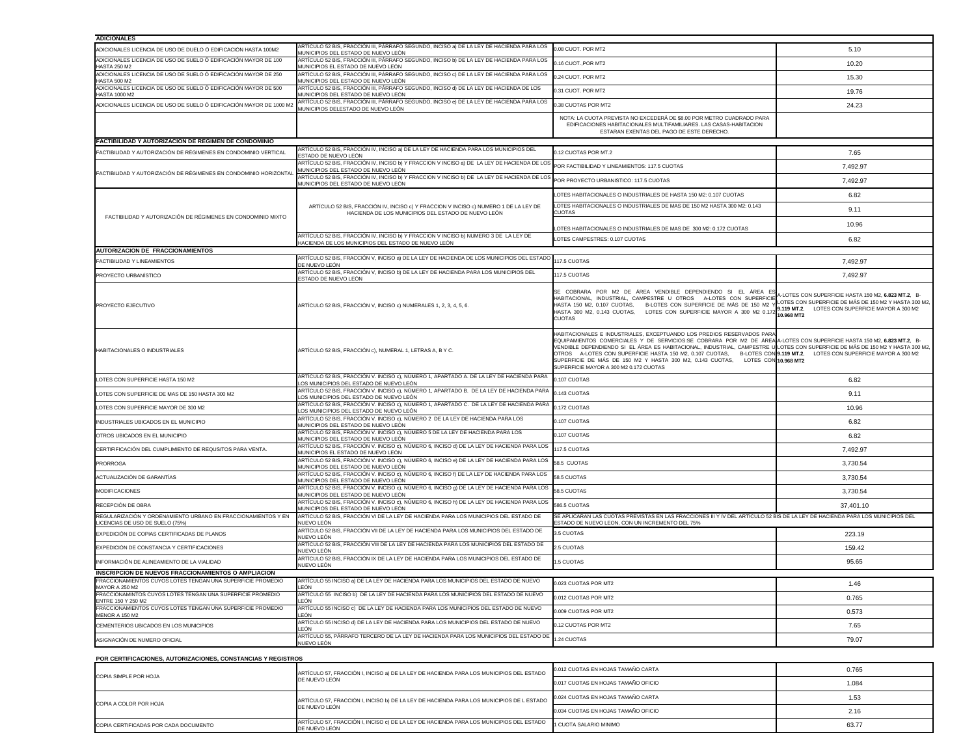| <b>ADICIONALES</b>                                                                               |                                                                                                                                                                                  |                                                                                                                                                                                                                                                                                                                                                                                                                                                                                                                               |                                                                                                                                                                               |
|--------------------------------------------------------------------------------------------------|----------------------------------------------------------------------------------------------------------------------------------------------------------------------------------|-------------------------------------------------------------------------------------------------------------------------------------------------------------------------------------------------------------------------------------------------------------------------------------------------------------------------------------------------------------------------------------------------------------------------------------------------------------------------------------------------------------------------------|-------------------------------------------------------------------------------------------------------------------------------------------------------------------------------|
| ADICIONALES LICENCIA DE USO DE DUELO Ó EDIFICACIÓN HASTA 100M2                                   | ARTÍCULO 52 BIS, FRACCIÓN III, PÁRRAFO SEGUNDO, INCISO a) DE LA LEY DE HACIENDA PARA LOS<br>MUNICIPIOS DEL ESTADO DE NUEVO LEÓN                                                  | 0.08 CUOT. POR MT2                                                                                                                                                                                                                                                                                                                                                                                                                                                                                                            | 5.10                                                                                                                                                                          |
| ADICIONALES LICENCIA DE USO DE SUELO Ó EDIFICACIÓN MAYOR DE 100<br><b>HASTA 250 M2</b>           | ARTÍCULO 52 BIS, FRACCIÓN III, PÁRRAFO SEGUNDO, INCISO b) DE LA LEY DE HACIENDA PARA LOS<br>MUNICIPIOS EL ESTADO DE NUEVO LEÓN                                                   | 0.16 CUOT., POR MT2                                                                                                                                                                                                                                                                                                                                                                                                                                                                                                           | 10.20                                                                                                                                                                         |
| ADICIONALES LICENCIA DE USO DE SUELO Ó EDIFICACIÓN MAYOR DE 250<br><b>HASTA 500 M2</b>           | ARTÍCULO 52 BIS, FRACCIÓN III, PÁRRAFO SEGUNDO, INCISO c) DE LA LEY DE HACIENDA PARA LOS<br>MUNICIPIOS DEL ESTADO DE NUEVO LEÓN                                                  | 0.24 CUOT. POR MT2                                                                                                                                                                                                                                                                                                                                                                                                                                                                                                            | 15.30                                                                                                                                                                         |
| ADICIONALES LICENCIA DE USO DE SUELO Ó EDIFICACIÓN MAYOR DE 500<br><b>HASTA 1000 M2</b>          | ARTÍCULO 52 BIS, FRACCIÓN III, PÁRRAFO SEGUNDO, INCISO d) DE LA LEY DE HACIENDA DE LOS<br>MUNICIPIOS DEL ESTADO DE NUEVO LEÓN                                                    | 0.31 CUOT. POR MT2                                                                                                                                                                                                                                                                                                                                                                                                                                                                                                            | 19.76                                                                                                                                                                         |
| ADICIONALES LICENCIA DE USO DE SUELO Ó EDIFICACIÓN MAYOR DE 1000 M2                              | ARTÍCULO 52 BIS, FRACCIÓN III, PÁRRAFO SEGUNDO, INCISO e) DE LA LEY DE HACIENDA PARA LOS<br>MUNICIPIOS DELESTADO DE NUEVO LEÓN                                                   | 0.38 CUOTAS POR MT2                                                                                                                                                                                                                                                                                                                                                                                                                                                                                                           | 24.23                                                                                                                                                                         |
|                                                                                                  |                                                                                                                                                                                  | NOTA: LA CUOTA PREVISTA NO EXCEDERÁ DE \$8.00 POR METRO CUADRADO PARA<br>EDIFICACIONES HABITACIONALES MULTIFAMILIARES. LAS CASAS-HABITACION<br>ESTARAN EXENTAS DEL PAGO DE ESTE DERECHO.                                                                                                                                                                                                                                                                                                                                      |                                                                                                                                                                               |
| <b>FACTIBILIDAD Y AUTORIZACION DE REGIMEN DE CONDOMINIO</b>                                      |                                                                                                                                                                                  |                                                                                                                                                                                                                                                                                                                                                                                                                                                                                                                               |                                                                                                                                                                               |
| FACTIBILIDAD Y AUTORIZACIÓN DE RÉGIMENES EN CONDOMINIO VERTICAL                                  | ARTÍCULO 52 BIS, FRACCIÓN IV, INCISO a) DE LA LEY DE HACIENDA PARA LOS MUNICIPIOS DEL<br>ESTADO DE NUEVO LEÓN                                                                    | 0.12 CUOTAS POR MT.2                                                                                                                                                                                                                                                                                                                                                                                                                                                                                                          | 7.65                                                                                                                                                                          |
| FACTIBILIDAD Y AUTORIZACIÓN DE RÉGIMENES EN CONDOMINIO HORIZONTAL                                | ARTÍCULO 52 BIS, FRACCIÓN IV, INCISO b) Y FRACCION V INCISO a) DE LA LEY DE HACIENDA DE LOS POR FACTIBILIDAD Y LINEAMIENTOS: 117.5 CUOTAS<br>MUNICIPIOS DEL ESTADO DE NUEVO LEÓN |                                                                                                                                                                                                                                                                                                                                                                                                                                                                                                                               | 7,492.97                                                                                                                                                                      |
|                                                                                                  | MONDON DE ENTERNACIÓN IV, INCISO b) Y FRACCION V INCISO b) DE LA LEY DE HACIENDA DE LOS POR PROYECTO URBANISTICO: 117.5 CUOTAS<br>MUNICIPIOS DEL ESTADO DE NUEVO LEÓN            |                                                                                                                                                                                                                                                                                                                                                                                                                                                                                                                               | 7,492.97                                                                                                                                                                      |
|                                                                                                  |                                                                                                                                                                                  | LOTES HABITACIONALES O INDUSTRIALES DE HASTA 150 M2: 0.107 CUOTAS                                                                                                                                                                                                                                                                                                                                                                                                                                                             | 6.82                                                                                                                                                                          |
| FACTIBILIDAD Y AUTORIZACIÓN DE RÉGIMENES EN CONDOMINIO MIXTO                                     | ARTÍCULO 52 BIS, FRACCIÓN IV, INCISO c) Y FRACCION V INCISO c) NUMERO 1 DE LA LEY DE<br>HACIENDA DE LOS MUNICIPIOS DEL ESTADO DE NUEVO LEÓN                                      | LOTES HABITACIONALES O INDUSTRIALES DE MAS DE 150 M2 HASTA 300 M2: 0.143<br><b>CUOTAS</b>                                                                                                                                                                                                                                                                                                                                                                                                                                     | 9.11                                                                                                                                                                          |
|                                                                                                  |                                                                                                                                                                                  | LOTES HABITACIONALES O INDUSTRIALES DE MAS DE 300 M2: 0.172 CUOTAS                                                                                                                                                                                                                                                                                                                                                                                                                                                            | 10.96                                                                                                                                                                         |
|                                                                                                  | ARTÍCULO 52 BIS, FRACCIÓN IV, INCISO b) Y FRACCION V INCISO b) NUMERO 3 DE LA LEY DE<br>HACIENDA DE LOS MUNICIPIOS DEL ESTADO DE NUEVO LEÓN                                      | LOTES CAMPESTRES: 0.107 CUOTAS                                                                                                                                                                                                                                                                                                                                                                                                                                                                                                | 6.82                                                                                                                                                                          |
| <b>AUTORIZACION DE FRACCIONAMIENTOS</b>                                                          |                                                                                                                                                                                  |                                                                                                                                                                                                                                                                                                                                                                                                                                                                                                                               |                                                                                                                                                                               |
| <b>FACTIBILIDAD Y LINEAMIENTOS</b>                                                               | ARTÍCULO 52 BIS, FRACCIÓN V, INCISO a) DE LA LEY DE HACIENDA DE LOS MUNICIPIOS DEL ESTADO<br>DE NUEVO LEÓN                                                                       | 117.5 CUOTAS                                                                                                                                                                                                                                                                                                                                                                                                                                                                                                                  | 7,492.97                                                                                                                                                                      |
| <b>PROYECTO URBANÍSTICO</b>                                                                      | ARTÍCULO 52 BIS, FRACCIÓN V, INCISO b) DE LA LEY DE HACIENDA PARA LOS MUNICIPIOS DEL<br>ESTADO DE NUEVO LEÓN                                                                     | 117.5 CUOTAS                                                                                                                                                                                                                                                                                                                                                                                                                                                                                                                  | 7,492.97                                                                                                                                                                      |
| PROYECTO EJECUTIVO                                                                               | ARTÍCULO 52 BIS, FRACCIÓN V, INCISO c) NUMERALES 1, 2, 3, 4, 5, 6.                                                                                                               | SE COBRARA POR M2 DE ÁREA VENDIBLE DEPENDIENDO SI EL ÁREA ES<br>HABITACIONAL, INDUSTRIAL, CAMPESTRE U OTROS A-LOTES CON SUPERFICIE<br>HASTA 150 M2, 0.107 CUOTAS, B-LOTES CON SUPERFICIE DE MÁS DE 150 M2<br>HASTA 300 M2, 0.143 CUOTAS, LOTES CON SUPERFICIE MAYOR A 300 M2 0.1<br><b>CUOTAS</b>                                                                                                                                                                                                                             | A-LOTES CON SUPERFICIE HASTA 150 M2, 6.823 MT.2, B-<br>LOTES CON SUPERFICIE DE MÁS DE 150 M2 Y HASTA 300 M2,<br>9.119 MT.2, LOTES CON SUPERFICIE MAYOR A 300 M2<br>10.968 MT2 |
| <b>HABITACIONALES O INDUSTRIALES</b>                                                             | ARTÍCULO 52 BIS, FRACCIÓN c), NUMERAL 1, LETRAS A, B Y C.                                                                                                                        | HABITACIONALES E INDUSTRIALES, EXCEPTUANDO LOS PREDIOS RESERVADOS PARA<br>EQUIPAMIENTOS COMERCIALES Y DE SERVICIOS:SE COBRARA POR M2 DE ÁREA A-LOTES CON SUPERFICIE HASTA 150 M2, 6.823 MT.2, B-<br>VENDIBLE DEPENDIENDO SI EL ÁREA ES HABITACIONAL, INDUSTRIAL, CAMPESTRE U LOTES CON SUPERFICIE DE MÁS DE 150 M2 Y HASTA 300 M2,<br>OTROS A-LOTES CON SUPERFICIE HASTA 150 M2, 0.107 CUOTAS,<br>SUPERFICIE DE MÁS DE 150 M2 Y HASTA 300 M2, 0.143 CUOTAS,<br>LOTES CON 10.968 MT2<br>SUPERFICIE MAYOR A 300 M2 0.172 CUOTAS | B-LOTES CON 9.119 MT.2, LOTES CON SUPERFICIE MAYOR A 300 M2                                                                                                                   |
| LOTES CON SUPERFICIE HASTA 150 M2                                                                | ARTÍCULO 52 BIS, FRACCIÓN V. INCISO c), NÚMERO 1, APARTADO A. DE LA LEY DE HACIENDA PARA<br>LOS MUNICIPIOS DEL ESTADO DE NUEVO LEÓN                                              | 0.107 CUOTAS                                                                                                                                                                                                                                                                                                                                                                                                                                                                                                                  | 6.82                                                                                                                                                                          |
| LOTES CON SUPERFICIE DE MAS DE 150 HASTA 300 M2                                                  | ARTÍCULO 52 BIS, FRACCIÓN V. INCISO c), NÚMERO 1, APARTADO B. DE LA LEY DE HACIENDA PARA<br>LOS MUNICIPIOS DEL ESTADO DE NUEVO LEÓN                                              | 0.143 CUOTAS                                                                                                                                                                                                                                                                                                                                                                                                                                                                                                                  | 9.11                                                                                                                                                                          |
| LOTES CON SUPERFICIE MAYOR DE 300 M2                                                             | ARTÍCULO 52 BIS, FRACCIÓN V. INCISO c), NÚMERO 1, APARTADO C. DE LA LEY DE HACIENDA PARA<br>LOS MUNICIPIOS DEL ESTADO DE NUEVO LEÓN                                              | 0.172 CUOTAS                                                                                                                                                                                                                                                                                                                                                                                                                                                                                                                  | 10.96                                                                                                                                                                         |
| INDUSTRIALES UBICADOS EN EL MUNICIPIO                                                            | ARTÍCULO 52 BIS, FRACCIÓN V. INCISO c), NÚMERO 2 DE LA LEY DE HACIENDA PARA LOS<br>MUNICIPIOS DEL ESTADO DE NUEVO LEÓN                                                           | 0.107 CUOTAS                                                                                                                                                                                                                                                                                                                                                                                                                                                                                                                  | 6.82                                                                                                                                                                          |
| OTROS UBICADOS EN EL MUNICIPIO                                                                   | ARTÍCULO 52 BIS, FRACCIÓN V. INCISO c), NÚMERO 5 DE LA LEY DE HACIENDA PARA LOS<br>MUNICIPIOS DEL ESTADO DE NUEVO LEÓN                                                           | 0.107 CUOTAS                                                                                                                                                                                                                                                                                                                                                                                                                                                                                                                  | 6.82                                                                                                                                                                          |
| CERTIFIFICACIÓN DEL CUMPLIMIENTO DE REQUSITOS PARA VENTA.                                        | ARTÍCULO 52 BIS, FRACCIÓN V. INCISO c), NÚMERO 6, INCISO d) DE LA LEY DE HACIENDA PARA LOS<br>MUNICIPIOS EL ESTADO DE NUEVO LEÓN                                                 | 117.5 CUOTAS                                                                                                                                                                                                                                                                                                                                                                                                                                                                                                                  | 7,492.97                                                                                                                                                                      |
| <b>PRORROGA</b>                                                                                  | ARTÍCULO 52 BIS, FRACCIÓN V. INCISO c), NÚMERO 6, INCISO e) DE LA LEY DE HACIENDA PARA LOS<br>MUNICIPIOS DEL ESTADO DE NUEVO LEÓN                                                | 58.5 CUOTAS                                                                                                                                                                                                                                                                                                                                                                                                                                                                                                                   | 3,730.54                                                                                                                                                                      |
| ACTUALIZACIÓN DE GARANTÍAS                                                                       | ARTÍCULO 52 BIS, FRACCIÓN V. INCISO c), NÚMERO 6, INCISO f) DE LA LEY DE HACIENDA PARA LOS<br>MUNICIPIOS DEL ESTADO DE NUEVO LEÓN                                                | 58.5 CUOTAS                                                                                                                                                                                                                                                                                                                                                                                                                                                                                                                   | 3,730.54                                                                                                                                                                      |
| <b>MODIFICACIONES</b>                                                                            | ARTÍCULO 52 BIS, FRACCIÓN V. INCISO c), NÚMERO 6, INCISO g) DE LA LEY DE HACIENDA PARA LOS<br>MUNICIPIOS DEL ESTADO DE NUEVO LEÓN                                                | 58.5 CUOTAS                                                                                                                                                                                                                                                                                                                                                                                                                                                                                                                   | 3,730.54                                                                                                                                                                      |
| RECEPCIÓN DE OBRA                                                                                | ARTÍCULO 52 BIS, FRACCIÓN V. INCISO c), NÚMERO 6, INCISO h) DE LA LEY DE HACIENDA PARA LOS<br>MUNICIPIOS DEL ESTADO DE NUEVO LEÓN                                                | 586.5 CUOTAS                                                                                                                                                                                                                                                                                                                                                                                                                                                                                                                  | 37,401.10                                                                                                                                                                     |
| REGULARIZACIÓN Y ORDENAMIENTO URBANO EN FRACCIONAMIENTOS Y EN<br>LICENCIAS DE USO DE SUELO (75%) | ARTÍCULO 52 BIS, FRACCIÓN VI DE LA LEY DE HACIENDA PARA LOS MUNICIPIOS DEL ESTADO DE<br>NUEVO LEÓN                                                                               | SE APLICARAN LAS CUOTAS PREVISTAS EN LAS FRACCIONES III Y IV DEL ARTÍCULO 52 BIS DE LA LEY DE HACIENDA PARA LOS MUNICIPIOS DEL<br>ESTADO DE NUEVO LEON, CON UN INCREMENTO DEL 75%                                                                                                                                                                                                                                                                                                                                             |                                                                                                                                                                               |
| EXPEDICIÓN DE COPIAS CERTIFICADAS DE PLANOS                                                      | ARTÍCULO 52 BIS, FRACCIÓN VII DE LA LEY DE HACIENDA PARA LOS MUNICIPIOS DEL ESTADO DE<br>NUEVO LEÓN                                                                              | 3.5 CUOTAS                                                                                                                                                                                                                                                                                                                                                                                                                                                                                                                    | 223.19                                                                                                                                                                        |
| EXPEDICIÓN DE CONSTANCIA Y CERTIFICACIONES                                                       | ARTÍCULO 52 BIS, FRACCIÓN VIII DE LA LEY DE HACIENDA PARA LOS MUNICIPIOS DEL ESTADO DE<br>NUEVO LEÓN                                                                             | 2.5 CUOTAS                                                                                                                                                                                                                                                                                                                                                                                                                                                                                                                    | 159.42                                                                                                                                                                        |
| INFORMACIÓN DE ALINEAMIENTO DE LA VIALIDAD                                                       | ARTÍCULO 52 BIS, FRACCIÓN IX DE LA LEY DE HACIENDA PARA LOS MUNICIPIOS DEL ESTADO DE<br>NUEVO LEÓN                                                                               | 1.5 CUOTAS                                                                                                                                                                                                                                                                                                                                                                                                                                                                                                                    | 95.65                                                                                                                                                                         |
| <b>INSCRIPCION DE NUEVOS FRACCIONAMIENTOS O AMPLIACION</b>                                       |                                                                                                                                                                                  |                                                                                                                                                                                                                                                                                                                                                                                                                                                                                                                               |                                                                                                                                                                               |
| FRACCIONAMIENTOS CUYOS LOTES TENGAN UNA SUPERFICIE PROMEDIO<br><b>MAYOR A 250 M2</b>             | ARTÍCULO 55 INCISO a) DE LA LEY DE HACIENDA PARA LOS MUNICIPIOS DEL ESTADO DE NUEVO<br>LEÓN                                                                                      | 0.023 CUOTAS POR MT2                                                                                                                                                                                                                                                                                                                                                                                                                                                                                                          | 1.46                                                                                                                                                                          |
| FRACCIONAMINTOS CUYOS LOTES TENGAN UNA SUPERFICIE PROMEDIO<br>ENTRE 150 Y 250 M2                 | ARTÍCULO 55 INCISO b) DE LA LEY DE HACIENDA PARA LOS MUNICIPIOS DEL ESTADO DE NUEVO<br>LEÓN                                                                                      | 0.012 CUOTAS POR MT2                                                                                                                                                                                                                                                                                                                                                                                                                                                                                                          | 0.765                                                                                                                                                                         |
| FRACCIONAMIENTOS CUYOS LOTES TENGAN UNA SUPERFICIE PROMEDIO<br><b>MENOR A 150 M2</b>             | ARTÍCULO 55 INCISO c) DE LA LEY DE HACIENDA PARA LOS MUNICIPIOS DEL ESTADO DE NUEVO<br>LEÓN                                                                                      | 0.009 CUOTAS POR MT2                                                                                                                                                                                                                                                                                                                                                                                                                                                                                                          | 0.573                                                                                                                                                                         |
| CEMENTERIOS UBICADOS EN LOS MUNICIPIOS                                                           | ARTÍCULO 55 INCISO d) DE LA LEY DE HACIENDA PARA LOS MUNICIPIOS DEL ESTADO DE NUEVO<br>LEÓN                                                                                      | 0.12 CUOTAS POR MT2                                                                                                                                                                                                                                                                                                                                                                                                                                                                                                           | 7.65                                                                                                                                                                          |
| ASIGNACIÓN DE NUMERO OFICIAL                                                                     | ARTÍCULO 55, PÁRRAFO TERCERO DE LA LEY DE HACIENDA PARA LOS MUNICIPIOS DEL ESTADO DE<br>NUEVO LEÓN                                                                               | 1.24 CUOTAS                                                                                                                                                                                                                                                                                                                                                                                                                                                                                                                   | 79.07                                                                                                                                                                         |
| POR CERTIFICACIONES, AUTORIZACIONES, CONSTANCIAS Y REGISTROS                                     |                                                                                                                                                                                  |                                                                                                                                                                                                                                                                                                                                                                                                                                                                                                                               |                                                                                                                                                                               |
|                                                                                                  | ARTÍCULO 57, FRACCIÓN I, INCISO a) DE LA LEY DE HACIENDA PARA LOS MUNICIPIOS DEL ESTADO                                                                                          | 0.012 CUOTAS EN HOJAS TAMAÑO CARTA                                                                                                                                                                                                                                                                                                                                                                                                                                                                                            | 0.765                                                                                                                                                                         |
| COPIA SIMPLE POR HOJA                                                                            | DE NUEVO LEÓN                                                                                                                                                                    | 0.017 CUOTAS EN HOJAS TAMAÑO OFICIO                                                                                                                                                                                                                                                                                                                                                                                                                                                                                           | 1.084                                                                                                                                                                         |
|                                                                                                  | ARTÍCULO 57, FRACCIÓN I, INCISO b) DE LA LEY DE HACIENDA PARA LOS MUNICIPIOS DE L ESTADO                                                                                         | 0.024 CUOTAS EN HOJAS TAMAÑO CARTA                                                                                                                                                                                                                                                                                                                                                                                                                                                                                            | 1.53                                                                                                                                                                          |
| COPIA A COLOR POR HOJA                                                                           | DE NUEVO LEÓN                                                                                                                                                                    | 0.034 CUOTAS EN HOJAS TAMAÑO OFICIO                                                                                                                                                                                                                                                                                                                                                                                                                                                                                           | 2.16                                                                                                                                                                          |

63.77

| <b>ICOPIA SIMPLE POR HOJA</b>         |                                                                                                          |                                      |
|---------------------------------------|----------------------------------------------------------------------------------------------------------|--------------------------------------|
|                                       | DE NUEVO LEÓN                                                                                            | 0.017 CUOTAS EN HOJAS T/             |
| COPIA A COLOR POR HOJA                | ARTÍCULO 57, FRACCIÓN I, INCISO b) DE LA LEY DE HACIENDA PARA LOS MUNICIPIOS DE L ESTADO                 | $\parallel$ 0.024 CUOTAS EN HOJAS T/ |
|                                       | DE NUEVO LEÓN                                                                                            | 0.034 CUOTAS EN HOJAS T/             |
| COPIA CERTIFICADAS POR CADA DOCUMENTO | ARTÍCULO 57, FRACCIÓN I, INCISO c) DE LA LEY DE HACIENDA PARA LOS MUNICIPIOS DEL ESTADO<br>DE NUEVO LEÓN | 1 CUOTA SALARIO MINIMO               |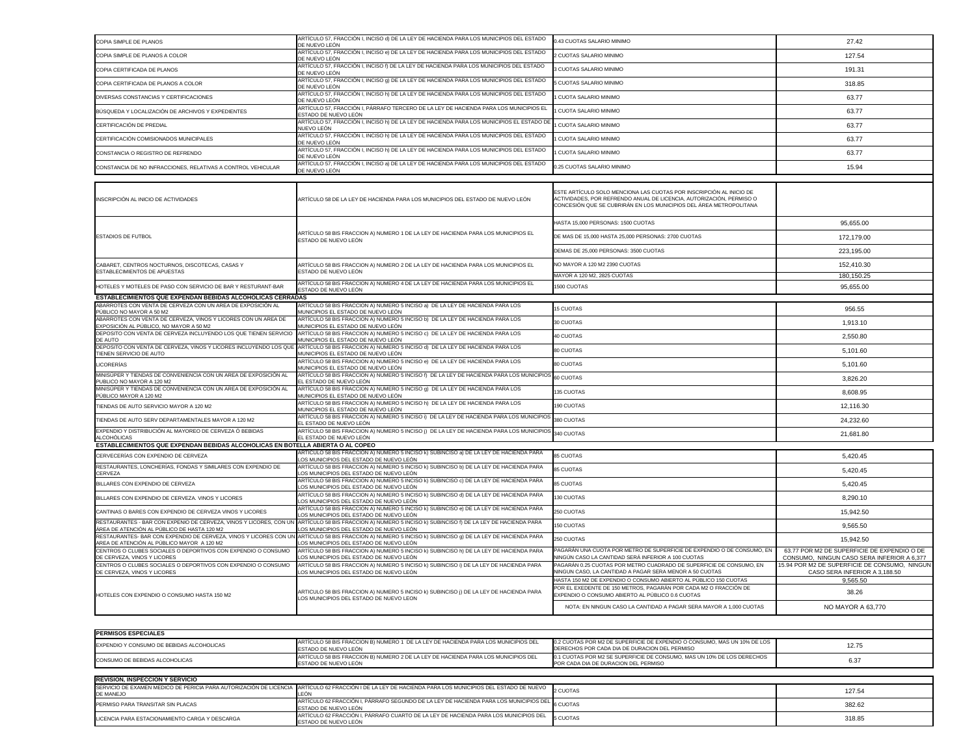| COPIA SIMPLE DE PLANOS                                                                                                    | ARTÍCULO 57, FRACCIÓN I, INCISO d) DE LA LEY DE HACIENDA PARA LOS MUNICIPIOS DEL ESTADO<br>DE NUEVO LEÓN                                                                                             | 0.43 CUOTAS SALARIO MINIMO                                                                                                                                                                                        | 27.42                                                                                      |
|---------------------------------------------------------------------------------------------------------------------------|------------------------------------------------------------------------------------------------------------------------------------------------------------------------------------------------------|-------------------------------------------------------------------------------------------------------------------------------------------------------------------------------------------------------------------|--------------------------------------------------------------------------------------------|
| COPIA SIMPLE DE PLANOS A COLOR                                                                                            | ARTÍCULO 57, FRACCIÓN I, INCISO e) DE LA LEY DE HACIENDA PARA LOS MUNICIPIOS DEL ESTADO<br>DE NUEVO LEÓN                                                                                             | 2 CUOTAS SALARIO MINIMO                                                                                                                                                                                           | 127.54                                                                                     |
| COPIA CERTIFICADA DE PLANOS                                                                                               | ARTÍCULO 57, FRACCIÓN I, INCISO f) DE LA LEY DE HACIENDA PARA LOS MUNICIPIOS DEL ESTADO<br>DE NUEVO LEÓN                                                                                             | 3 CUOTAS SALARIO MINIMO                                                                                                                                                                                           | 191.31                                                                                     |
| COPIA CERTIFICADA DE PLANOS A COLOR                                                                                       | ARTÍCULO 57, FRACCIÓN I, INCISO 9) DE LA LEY DE HACIENDA PARA LOS MUNICIPIOS DEL ESTADO<br>DE NUEVO LEÓN                                                                                             | 5 CUOTAS SALARIO MINIMO                                                                                                                                                                                           | 318.85                                                                                     |
| DIVERSAS CONSTANCIAS Y CERTIFICACIONES                                                                                    | ARTÍCULO 57, FRACCIÓN I, INCISO h) DE LA LEY DE HACIENDA PARA LOS MUNICIPIOS DEL ESTADO<br>DE NUEVO LEÓN                                                                                             | <b>CUOTA SALARIO MINIMO</b>                                                                                                                                                                                       | 63.77                                                                                      |
| BÚSQUEDA Y LOCALIZACIÓN DE ARCHIVOS Y EXPEDIENTES                                                                         | ARTÍCULO 57, FRACCIÓN I, PÁRRAFO TERCERO DE LA LEY DE HACIENDA PARA LOS MUNICIPIOS EL<br>ESTADO DE NUEVO LEÓN                                                                                        | I CUOTA SALARIO MINIMO                                                                                                                                                                                            | 63.77                                                                                      |
| CERTIFICACIÓN DE PREDIAL                                                                                                  | ARTÍCULO 57, FRACCIÓN I, INCISO h) DE LA LEY DE HACIENDA PARA LOS MUNICIPIOS EL ESTADO DE<br>NUEVO LEÓN                                                                                              | 1 CUOTA SALARIO MINIMO                                                                                                                                                                                            | 63.77                                                                                      |
| CERTIFICACIÓN COMISIONADOS MUNICIPALES                                                                                    | ARTÍCULO 57, FRACCIÓN I, INCISO h) DE LA LEY DE HACIENDA PARA LOS MUNICIPIOS DEL ESTADO<br>DE NUEVO LEÓN                                                                                             | <b>CUOTA SALARIO MINIMO</b>                                                                                                                                                                                       | 63.77                                                                                      |
| CONSTANCIA O REGISTRO DE REFRENDO                                                                                         | ARTÍCULO 57, FRACCIÓN I, INCISO h) DE LA LEY DE HACIENDA PARA LOS MUNICIPIOS DEL ESTADO                                                                                                              | I CUOTA SALARIO MINIMO                                                                                                                                                                                            | 63.77                                                                                      |
| CONSTANCIA DE NO INFRACCIONES, RELATIVAS A CONTROL VEHICULAR                                                              | DE NUEVO LEÓN<br>ARTÍCULO 57, FRACCIÓN I, INCISO a) DE LA LEY DE HACIENDA PARA LOS MUNICIPIOS DEL ESTADO                                                                                             | 0.25 CUOTAS SALARIO MINIMO                                                                                                                                                                                        | 15.94                                                                                      |
|                                                                                                                           | DE NUEVO LEÓN                                                                                                                                                                                        |                                                                                                                                                                                                                   |                                                                                            |
| INSCRIPCIÓN AL INICIO DE ACTIVIDADES                                                                                      | ARTÍCULO 58 DE LA LEY DE HACIENDA PARA LOS MUNICIPIOS DEL ESTADO DE NUEVO LEÓN                                                                                                                       | ESTE ARTÍCULO SOLO MENCIONA LAS CUOTAS POR INSCRIPCIÓN AL INICIO DE<br>ACTIVIDADES, POR REFRENDO ANUAL DE LICENCIA, AUTORIZACIÓN, PERMISO O<br>CONCESIÓN QUE SE CUBRIRÁN EN LOS MUNICIPIOS DEL ÁREA METROPOLITANA |                                                                                            |
|                                                                                                                           |                                                                                                                                                                                                      | HASTA 15,000 PERSONAS: 1500 CUOTAS                                                                                                                                                                                | 95,655.00                                                                                  |
| <b>ESTADIOS DE FUTBOL</b>                                                                                                 | ARTÍCULO 58 BIS FRACCION A) NUMERO 1 DE LA LEY DE HACIENDA PARA LOS MUNICIPIOS EL<br>ESTADO DE NUEVO LEÓN                                                                                            | DE MAS DE 15,000 HASTA 25,000 PERSONAS: 2700 CUOTAS                                                                                                                                                               | 172,179.00                                                                                 |
|                                                                                                                           |                                                                                                                                                                                                      | DEMAS DE 25,000 PERSONAS: 3500 CUOTAS                                                                                                                                                                             | 223,195.00                                                                                 |
| CABARET, CENTROS NOCTURNOS, DISCOTECAS, CASAS Y                                                                           | ARTÍCULO 58 BIS FRACCION A) NUMERO 2 DE LA LEY DE HACIENDA PARA LOS MUNICIPIOS EL                                                                                                                    | NO MAYOR A 120 M2 2390 CUOTAS                                                                                                                                                                                     | 152,410.30                                                                                 |
| <b>ESTABLECIMIENTOS DE APUESTAS</b>                                                                                       | ESTADO DE NUEVO LEÓN<br>ARTÍCULO 58 BIS FRACCION A) NUMERO 4 DE LA LEY DE HACIENDA PARA LOS MUNICIPIOS EL                                                                                            | MAYOR A 120 M2, 2825 CUOTAS                                                                                                                                                                                       | 180,150.25                                                                                 |
| HOTELES Y MOTELES DE PASO CON SERVICIO DE BAR Y RESTURANT-BAR                                                             | ESTADO DE NUEVO LEÓN                                                                                                                                                                                 | 1500 CUOTAS                                                                                                                                                                                                       | 95,655.00                                                                                  |
| ESTABLECIMIENTOS QUE EXPENDAN BEBIDAS ALCOHOLICAS CERRADAS<br>ABARROTES CON VENTA DE CERVEZA CON UN AREA DE EXPOSICIÓN AL | ARTÍCULO 58 BIS FRACCION A) NUMERO 5 INCISO a) DE LA LEY DE HACIENDA PARA LOS                                                                                                                        | <b>15 CUOTAS</b>                                                                                                                                                                                                  | 956.55                                                                                     |
| PÚBLICO NO MAYOR A 50 M2<br>ABARROTES CON VENTA DE CERVEZA, VINOS Y LICORES CON UN AREA DE                                | MUNICIPIOS EL ESTADO DE NUEVO LEÓN<br>ARTÍCULO 58 BIS FRACCION A) NUMERO 5 INCISO b) DE LA LEY DE HACIENDA PARA LOS                                                                                  | 30 CUOTAS                                                                                                                                                                                                         | 1,913.10                                                                                   |
| EXPOSICIÓN AL PÚBLICO, NO MAYOR A 50 M2                                                                                   | MUNICIPIOS EL ESTADO DE NUEVO LEÓN<br>DEPOSITO CON VENTA DE CERVEZA INCLUYENDO LOS QUE TIENEN SERVICIO ARTÍCULO 58 BIS FRACCION A) NUMERO 5 INCISO c) DE LA LEY DE HACIENDA PARA LOS                 | <b>40 CUOTAS</b>                                                                                                                                                                                                  | 2,550.80                                                                                   |
| DE AUTO                                                                                                                   | MUNICIPIOS EL ESTADO DE NUEVO LEÓN<br>DEPOSITO CON VENTA DE CERVEZA, VINOS Y LICORES INCLUYENDO LOS QUE ARTÍCULO 58 BIS FRACCION A) NUMERO 5 INCISO d) DE LA LEY DE HACIENDA PARA LOS                |                                                                                                                                                                                                                   |                                                                                            |
| TIENEN SERVICIO DE AUTO                                                                                                   | MUNICIPIOS EL ESTADO DE NUEVO LEÓN<br>ARTÍCULO 58 BIS FRACCION A) NUMERO 5 INCISO e) DE LA LEY DE HACIENDA PARA LOS                                                                                  | 80 CUOTAS                                                                                                                                                                                                         | 5,101.60                                                                                   |
| LICORERÍAS<br>MINISÚPER Y TIENDAS DE CONVENIENCIA CON UN AREA DE EXPOSICIÓN AL                                            | MUNICIPIOS EL ESTADO DE NUEVO LEÓN<br>ARTÍCULO 58 BIS FRACCION A) NUMERO 5 INCISO f) DE LA LEY DE HACIENDA PARA LOS MUNICIPIOS 60 CUOTAS                                                             | 80 CUOTAS                                                                                                                                                                                                         | 5,101.60                                                                                   |
| PUBLICO NO MAYOR A 120 M2<br>MINISÚPER Y TIENDAS DE CONVENIENCIA CON UN AREA DE EXPOSICIÓN AL                             | EL ESTADO DE NUEVO LEÓN<br>ARTÍCULO 58 BIS FRACCION A) NUMERO 5 INCISO 9) DE LA LEY DE HACIENDA PARA LOS                                                                                             |                                                                                                                                                                                                                   | 3,826.20                                                                                   |
| PÚBLICO MAYOR A 120 M2                                                                                                    | MUNICIPIOS EL ESTADO DE NUEVO LEÓN<br>ARTÍCULO 58 BIS FRACCION A) NUMERO 5 INCISO h) DE LA LEY DE HACIENDA PARA LOS                                                                                  | 135 CUOTAS                                                                                                                                                                                                        | 8,608.95                                                                                   |
| TIENDAS DE AUTO SERVICIO MAYOR A 120 M2                                                                                   | MUNICIPIOS EL ESTADO DE NUEVO LEÓN                                                                                                                                                                   | 190 CUOTAS                                                                                                                                                                                                        | 12,116.30                                                                                  |
| TIENDAS DE AUTO SERV DEPARTAMENTALES MAYOR A 120 M2                                                                       | ARTÍCULO 58 BIS FRACCION A) NUMERO 5 INCISO i) DE LA LEY DE HACIENDA PARA LOS MUNICIPIOS 380 CUOTAS<br>EL ESTADO DE NUEVO LEÓN                                                                       |                                                                                                                                                                                                                   | 24,232.60                                                                                  |
| EXPENDIO Y DISTRIBUCIÓN AL MAYOREO DE CERVEZA Ó BEBIDAS<br><b>ALCOHÓLICAS</b>                                             | ARTÍCULO 58 BIS FRACCION A) NUMERO 5 INCISO j) DE LA LEY DE HACIENDA PARA LOS MUNICIPIOS 340 CUOTAS<br>EL ESTADO DE NUEVO LEÓN                                                                       |                                                                                                                                                                                                                   | 21,681.80                                                                                  |
| ESTABLECIMIENTOS QUE EXPENDAN BEBIDAS ALCOHOLICAS EN BOTELLA ABIERTA O AL COPEO                                           | ARTÍCULO 58 BIS FRACCION A) NUMERO 5 INCISO k) SUBINCISO a) DE LA LEY DE HACIENDA PARA                                                                                                               | <b>85 CUOTAS</b>                                                                                                                                                                                                  |                                                                                            |
| CERVECERÍAS CON EXPENDIO DE CERVEZA<br>RESTAURANTES, LONCHERÍAS, FONDAS Y SIMILARES CON EXPENDIO DE                       | LOS MUNICIPIOS DEL ESTADO DE NUEVO LEÓN<br>ARTÍCULO 58 BIS FRACCION A) NUMERO 5 INCISO K) SUBINCISO b) DE LA LEY DE HACIENDA PARA                                                                    |                                                                                                                                                                                                                   | 5,420.45                                                                                   |
| <b>CERVEZA</b>                                                                                                            | LOS MUNICIPIOS DEL ESTADO DE NUEVO LEÓN<br>ARTÍCULO 58 BIS FRACCION A) NUMERO 5 INCISO k) SUBINCISO c) DE LA LEY DE HACIENDA PARA                                                                    | <b>85 CUOTAS</b>                                                                                                                                                                                                  | 5,420.45                                                                                   |
| BILLARES CON EXPENDIO DE CERVEZA                                                                                          | OS MUNICIPIOS DEL ESTADO DE NUEVO LEÓN<br>ARTÍCULO 58 BIS FRACCION A) NUMERO 5 INCISO K) SUBINCISO d) DE LA LEY DE HACIENDA PARA                                                                     | <b>85 CUOTAS</b>                                                                                                                                                                                                  | 5,420.45                                                                                   |
| BILLARES CON EXPENDIO DE CERVEZA. VINOS Y LICORES                                                                         | LOS MUNICIPIOS DEL ESTADO DE NUEVO LEÓN<br>ARTÍCULO 58 BIS FRACCION A) NUMERO 5 INCISO k) SUBINCISO e) DE LA LEY DE HACIENDA PARA                                                                    | 130 CUOTAS                                                                                                                                                                                                        | 8,290.10                                                                                   |
| CANTINAS O BARES CON EXPENDIO DE CERVEZA VINOS Y LICORES                                                                  | LOS MUNICIPIOS DEL ESTADO DE NUEVO LEÓN                                                                                                                                                              | 250 CUOTAS                                                                                                                                                                                                        | 15,942.50                                                                                  |
| ÁREA DE ATENCIÓN AL PÚBLICO DE HASTA 120 M2                                                                               | RESTAURANTES - BAR CON EXPENIO DE CERVEZA, VINOS Y LICORES, CON UN ARTÍCULO 58 BIS FRACCION A) NUMERO 5 INCISO k) SUBINCISO f) DE LA LEY DE HACIENDA PARA<br>LOS MUNICIPIOS DEL ESTADO DE NUEVO LEÓN | 150 CUOTAS                                                                                                                                                                                                        | 9,565.50                                                                                   |
| AREA DE ATENCIÓN AL PÚBLICO MAYOR A 120 M2                                                                                | RESTAURANTES- BAR CON EXPENDIO DE CERVEZA, VINOS Y LICORES CON UN ARTÍCULO 58 BIS FRACCION A) NUMERO 5 INCISO k) SUBINCISO 9) DE LA LEY DE HACIENDA PARA<br>LOS MUNICIPIOS DEL ESTADO DE NUEVO LEÓN  | 250 CUOTAS                                                                                                                                                                                                        | 15,942.50                                                                                  |
| CENTROS O CLUBES SOCIALES O DEPORTIVOS CON EXPENDIO O CONSUMO<br>DE CERVEZA, VINOS Y LICORES                              | ARTÍCULO 58 BIS FRACCION A) NUMERO 5 INCISO k) SUBINCISO h) DE LA LEY DE HACIENDA PARA<br>LOS MUNICIPIOS DEL ESTADO DE NUEVO LEÓN                                                                    | PAGARÁN UNA CUOTA POR METRO DE SUPERFICIE DE EXPENDIO O DE CONSUMO, EN<br>NINGÚN CASO LA CANTIDAD SERÁ INFERIOR A 100 CUOTAS                                                                                      | 63.77 POR M2 DE SUPERFICIE DE EXPENDIO O DE<br>CONSUMO, NINGUN CASO SERA INFERIOR A 6,377  |
| CENTROS O CLUBES SOCIALES O DEPORTIVOS CON EXPENDIO O CONSUMO<br>DE CERVEZA, VINOS Y LICORES                              | ARTÍCULO 58 BIS FRACCION A) NUMERO 5 INCISO k) SUBINCISO i) DE LA LEY DE HACIENDA PARA<br>OS MUNICIPIOS DEL ESTADO DE NUEVO LEÓN                                                                     | PAGARÁN 0.25 CUOTAS POR METRO CUADRADO DE SUPERFICIE DE CONSUMO, EN<br>NINGUN CASO, LA CANTIDAD A PAGAR SERA MENOR A 50 CUOTAS<br>HASTA 150 M2 DE EXPENDIO O CONSUMO ABIERTO AL PÚBLICO 150 CUOTAS                | 15.94 POR M2 DE SUPERFICIE DE CONSUMO, NINGUN<br>CASO SERA INFERIOR A 3,188.50<br>9,565.50 |
| <b>HOTELES CON EXPENDIO O CONSUMO HASTA 150 M2</b>                                                                        | ARTICULO 58 BIS FRACCION A) NUMERO 5 INCISO k) SUBINCISO j) DE LA LEY DE HACIENDA PARA<br>OS MUNICIPIOS DEL ESTADO DE NUEVO LEON                                                                     | POR EL EXEDENTE DE 150 METROS, PAGARÁN POR CADA M2 O FRACCIÓN DE<br>EXPENDIO O CONSUMO ABIERTO AL PÚBLICO 0.6 CUOTAS                                                                                              | 38.26                                                                                      |
|                                                                                                                           |                                                                                                                                                                                                      | NOTA: EN NINGUN CASO LA CANTIDAD A PAGAR SERA MAYOR A 1,000 CUOTAS                                                                                                                                                | NO MAYOR A 63,770                                                                          |
|                                                                                                                           |                                                                                                                                                                                                      |                                                                                                                                                                                                                   |                                                                                            |
| <b>PERMISOS ESPECIALES</b>                                                                                                | ARTÍCULO 58 BIS FRACCION B) NUMERO 1 DE LA LEY DE HACIENDA PARA LOS MUNICIPIOS DEL                                                                                                                   | 0.2 CUOTAS POR M2 DE SUPERFICIE DE EXPENDIO O CONSUMO, MAS UN 10% DE LOS                                                                                                                                          |                                                                                            |
| EXPENDIO Y CONSUMO DE BEBIDAS ALCOHOLICAS                                                                                 | ESTADO DE NUEVO LEÓN                                                                                                                                                                                 | DERECHOS POR CADA DIA DE DURACION DEL PERMISO                                                                                                                                                                     | 12.75                                                                                      |
| CONSUMO DE BEBIDAS ALCOHOLICAS                                                                                            | ARTÍCULO 58 BIS FRACCION B) NUMERO 2 DE LA LEY DE HACIENDA PARA LOS MUNICIPIOS DEL<br>ESTADO DE NUEVO LEÓN                                                                                           | 0.1 CUOTAS POR M2 SE SUPERFICIE DE CONSUMO, MAS UN 10% DE LOS DERECHOS<br>POR CADA DIA DE DURACION DEL PERMISO                                                                                                    | 6.37                                                                                       |
| <b>REVISION, INSPECCION Y SERVICIO</b>                                                                                    |                                                                                                                                                                                                      |                                                                                                                                                                                                                   |                                                                                            |
| DE MANEJO                                                                                                                 | SERVICIO DE EXAMEN MEDICO DE PERICIA PARA AUTORIZACIÓN DE LICENCIA NARTÍCULO 62 FRACCIÓN I DE LA LEY DE HACIENDA PARA LOS MUNICIPIOS DEL ESTADO DE NUEVO<br>LEÓN                                     | 2 CUOTAS                                                                                                                                                                                                          | 127.54                                                                                     |
| PERMISO PARA TRANSITAR SIN PLACAS                                                                                         | ARTÍCULO 62 FRACCIÓN I, PÁRRAFO SEGUNDO DE LA LEY DE HACIENDA PARA LOS MUNICIPIOS DEL<br>ESTADO DE NUEVO LEÓN                                                                                        | 6 CUOTAS                                                                                                                                                                                                          | 382.62                                                                                     |
|                                                                                                                           |                                                                                                                                                                                                      |                                                                                                                                                                                                                   |                                                                                            |

| COPIA SIMPLE DE PLANOS                                                                                                             | ARTÍCULO 57, FRACCIÓN I, INCISO d) DE LA LEY DE HACIENDA PARA LOS MUNICIPIOS DEL ESTADO<br>DE NUEVO LEÓN                                                                                             | 0.43 CUOTAS SALARIO MINIMO                                                                                                                                                                                        | 27.42                                                                                       |
|------------------------------------------------------------------------------------------------------------------------------------|------------------------------------------------------------------------------------------------------------------------------------------------------------------------------------------------------|-------------------------------------------------------------------------------------------------------------------------------------------------------------------------------------------------------------------|---------------------------------------------------------------------------------------------|
| COPIA SIMPLE DE PLANOS A COLOR                                                                                                     | ARTÍCULO 57, FRACCIÓN I, INCISO e) DE LA LEY DE HACIENDA PARA LOS MUNICIPIOS DEL ESTADO<br>DE NUEVO LEÓN                                                                                             | 2 CUOTAS SALARIO MINIMO                                                                                                                                                                                           | 127.54                                                                                      |
| COPIA CERTIFICADA DE PLANOS                                                                                                        | ARTÍCULO 57, FRACCIÓN I, INCISO f) DE LA LEY DE HACIENDA PARA LOS MUNICIPIOS DEL ESTADO<br>DE NUEVO LEÓN                                                                                             | 3 CUOTAS SALARIO MINIMO                                                                                                                                                                                           | 191.31                                                                                      |
| COPIA CERTIFICADA DE PLANOS A COLOR                                                                                                | ARTÍCULO 57, FRACCIÓN I, INCISO 9) DE LA LEY DE HACIENDA PARA LOS MUNICIPIOS DEL ESTADO<br>DE NUEVO LEÓN                                                                                             | 5 CUOTAS SALARIO MINIMO                                                                                                                                                                                           | 318.85                                                                                      |
| DIVERSAS CONSTANCIAS Y CERTIFICACIONES                                                                                             | ARTÍCULO 57, FRACCIÓN I, INCISO h) DE LA LEY DE HACIENDA PARA LOS MUNICIPIOS DEL ESTADO<br>DE NUEVO LEÓN                                                                                             | 1 CUOTA SALARIO MINIMO                                                                                                                                                                                            | 63.77                                                                                       |
| BÚSQUEDA Y LOCALIZACIÓN DE ARCHIVOS Y EXPEDIENTES                                                                                  | ARTÍCULO 57, FRACCIÓN I, PÁRRAFO TERCERO DE LA LEY DE HACIENDA PARA LOS MUNICIPIOS EL<br>ESTADO DE NUEVO LEÓN                                                                                        | 1 CUOTA SALARIO MINIMO                                                                                                                                                                                            | 63.77                                                                                       |
| CERTIFICACIÓN DE PREDIAL                                                                                                           | ARTÍCULO 57, FRACCIÓN I, INCISO h) DE LA LEY DE HACIENDA PARA LOS MUNICIPIOS EL ESTADO DE<br>NUEVO LEÓN                                                                                              | 1 CUOTA SALARIO MINIMO                                                                                                                                                                                            | 63.77                                                                                       |
| CERTIFICACIÓN COMISIONADOS MUNICIPALES                                                                                             | ARTÍCULO 57, FRACCIÓN I, INCISO h) DE LA LEY DE HACIENDA PARA LOS MUNICIPIOS DEL ESTADO<br>DE NUEVO LEÓN                                                                                             | 1 CUOTA SALARIO MINIMO                                                                                                                                                                                            | 63.77                                                                                       |
| CONSTANCIA O REGISTRO DE REFRENDO                                                                                                  | ARTÍCULO 57, FRACCIÓN I, INCISO h) DE LA LEY DE HACIENDA PARA LOS MUNICIPIOS DEL ESTADO<br>DE NUEVO LEÓN                                                                                             | 1 CUOTA SALARIO MINIMO                                                                                                                                                                                            | 63.77                                                                                       |
| CONSTANCIA DE NO INFRACCIONES, RELATIVAS A CONTROL VEHICULAR                                                                       | ARTÍCULO 57, FRACCIÓN I, INCISO a) DE LA LEY DE HACIENDA PARA LOS MUNICIPIOS DEL ESTADO                                                                                                              | 0.25 CUOTAS SALARIO MINIMO                                                                                                                                                                                        | 15.94                                                                                       |
|                                                                                                                                    | DE NUEVO LEÓN                                                                                                                                                                                        |                                                                                                                                                                                                                   |                                                                                             |
| INSCRIPCIÓN AL INICIO DE ACTIVIDADES                                                                                               | ARTÍCULO 58 DE LA LEY DE HACIENDA PARA LOS MUNICIPIOS DEL ESTADO DE NUEVO LEÓN                                                                                                                       | ESTE ARTÍCULO SOLO MENCIONA LAS CUOTAS POR INSCRIPCIÓN AL INICIO DE<br>ACTIVIDADES, POR REFRENDO ANUAL DE LICENCIA, AUTORIZACIÓN, PERMISO O<br>CONCESIÓN QUE SE CUBRIRÁN EN LOS MUNICIPIOS DEL ÁREA METROPOLITANA |                                                                                             |
|                                                                                                                                    |                                                                                                                                                                                                      | HASTA 15,000 PERSONAS: 1500 CUOTAS                                                                                                                                                                                | 95,655.00                                                                                   |
| <b>ESTADIOS DE FUTBOL</b>                                                                                                          | ARTÍCULO 58 BIS FRACCION A) NUMERO 1 DE LA LEY DE HACIENDA PARA LOS MUNICIPIOS EL<br>ESTADO DE NUEVO LEÓN                                                                                            | DE MAS DE 15,000 HASTA 25,000 PERSONAS: 2700 CUOTAS                                                                                                                                                               | 172,179.00                                                                                  |
|                                                                                                                                    |                                                                                                                                                                                                      | DEMAS DE 25,000 PERSONAS: 3500 CUOTAS                                                                                                                                                                             | 223,195.00                                                                                  |
| CABARET, CENTROS NOCTURNOS, DISCOTECAS, CASAS Y<br><b>ESTABLECIMIENTOS DE APUESTAS</b>                                             | ARTÍCULO 58 BIS FRACCION A) NUMERO 2 DE LA LEY DE HACIENDA PARA LOS MUNICIPIOS EL<br>ESTADO DE NUEVO LEÓN                                                                                            | NO MAYOR A 120 M2 2390 CUOTAS                                                                                                                                                                                     | 152,410.30                                                                                  |
|                                                                                                                                    | ARTÍCULO 58 BIS FRACCION A) NUMERO 4 DE LA LEY DE HACIENDA PARA LOS MUNICIPIOS EL                                                                                                                    | MAYOR A 120 M2, 2825 CUOTAS                                                                                                                                                                                       | 180,150.25                                                                                  |
| HOTELES Y MOTELES DE PASO CON SERVICIO DE BAR Y RESTURANT-BAR<br><b>ESTABLECIMIENTOS QUE EXPENDAN BEBIDAS ALCOHOLICAS CERRADAS</b> | ESTADO DE NUEVO LEÓN                                                                                                                                                                                 | 1500 CUOTAS                                                                                                                                                                                                       | 95,655.00                                                                                   |
| ABARROTES CON VENTA DE CERVEZA CON UN AREA DE EXPOSICIÓN AL                                                                        | ARTÍCULO 58 BIS FRACCION A) NUMERO 5 INCISO a) DE LA LEY DE HACIENDA PARA LOS                                                                                                                        | <b>15 CUOTAS</b>                                                                                                                                                                                                  | 956.55                                                                                      |
| PÚBLICO NO MAYOR A 50 M2<br>ABARROTES CON VENTA DE CERVEZA, VINOS Y LICORES CON UN AREA DE                                         | MUNICIPIOS EL ESTADO DE NUEVO LEÓN<br>ARTÍCULO 58 BIS FRACCION A) NUMERO 5 INCISO b) DE LA LEY DE HACIENDA PARA LOS                                                                                  | 30 CUOTAS                                                                                                                                                                                                         | 1,913.10                                                                                    |
| EXPOSICIÓN AL PÚBLICO, NO MAYOR A 50 M2<br>DEPOSITO CON VENTA DE CERVEZA INCLUYENDO LOS QUE TIENEN SERVICIO                        | MUNICIPIOS EL ESTADO DE NUEVO LEÓN<br>ARTÍCULO 58 BIS FRACCION A) NUMERO 5 INCISO c) DE LA LEY DE HACIENDA PARA LOS                                                                                  | 40 CUOTAS                                                                                                                                                                                                         | 2,550.80                                                                                    |
| DE AUTO<br>DEPOSITO CON VENTA DE CERVEZA, VINOS Y LICORES INCLUYENDO LOS QUE                                                       | MUNICIPIOS EL ESTADO DE NUEVO LEÓN<br>ARTÍCULO 58 BIS FRACCION A) NUMERO 5 INCISO d) DE LA LEY DE HACIENDA PARA LOS                                                                                  | 80 CUOTAS                                                                                                                                                                                                         | 5,101.60                                                                                    |
| TIENEN SERVICIO DE AUTO<br><b>LICORERÍAS</b>                                                                                       | MUNICIPIOS EL ESTADO DE NUEVO LEÓN<br>ARTÍCULO 58 BIS FRACCION A) NUMERO 5 INCISO e) DE LA LEY DE HACIENDA PARA LOS                                                                                  | 80 CUOTAS                                                                                                                                                                                                         | 5,101.60                                                                                    |
| MINISÚPER Y TIENDAS DE CONVENIENCIA CON UN AREA DE EXPOSICIÓN AL                                                                   | MUNICIPIOS EL ESTADO DE NUEVO LEÓN<br>ARTÍCULO 58 BIS FRACCION A) NUMERO 5 INCISO f) DE LA LEY DE HACIENDA PARA LOS MUNICIPIOS 60 CUOTAS                                                             |                                                                                                                                                                                                                   | 3,826.20                                                                                    |
| PUBLICO NO MAYOR A 120 M2<br>MINISÚPER Y TIENDAS DE CONVENIENCIA CON UN AREA DE EXPOSICIÓN AL                                      | EL ESTADO DE NUEVO LEÓN<br>ARTÍCULO 58 BIS FRACCION A) NUMERO 5 INCISO 9) DE LA LEY DE HACIENDA PARA LOS                                                                                             | 135 CUOTAS                                                                                                                                                                                                        | 8,608.95                                                                                    |
| PÚBLICO MAYOR A 120 M2<br>TIENDAS DE AUTO SERVICIO MAYOR A 120 M2                                                                  | MUNICIPIOS EL ESTADO DE NUEVO LEÓN<br>ARTÍCULO 58 BIS FRACCION A) NUMERO 5 INCISO h) DE LA LEY DE HACIENDA PARA LOS                                                                                  | 190 CUOTAS                                                                                                                                                                                                        | 12,116.30                                                                                   |
|                                                                                                                                    | MUNICIPIOS EL ESTADO DE NUEVO LEÓN<br>IARTÍCULO 58 BIS FRACCION A) NUMERO 5 INCISO I) DE LA LEY DE HACIENDA PARA LOS MUNICIPIOS 380 CUOTAS                                                           |                                                                                                                                                                                                                   |                                                                                             |
| TIENDAS DE AUTO SERV DEPARTAMENTALES MAYOR A 120 M2<br>EXPENDIO Y DISTRIBUCIÓN AL MAYOREO DE CERVEZA Ó BEBIDAS                     | EL ESTADO DE NUEVO LEÓN<br>ARTÍCULO 58 BIS FRACCION A) NUMERO 5 INCISO j) DE LA LEY DE HACIENDA PARA LOS MUNICIPIOS 340 CUOTAS                                                                       |                                                                                                                                                                                                                   | 24,232.60                                                                                   |
| ALCOHÓLICAS<br>ESTABLECIMIENTOS QUE EXPENDAN BEBIDAS ALCOHOLICAS EN BOTELLA ABIERTA O AL COPEO                                     | EL ESTADO DE NUEVO LEÓN                                                                                                                                                                              |                                                                                                                                                                                                                   | 21,681.80                                                                                   |
| CERVECERÍAS CON EXPENDIO DE CERVEZA                                                                                                | ARTÍCULO 58 BIS FRACCION A) NUMERO 5 INCISO k) SUBINCISO a) DE LA LEY DE HACIENDA PARA<br>LOS MUNICIPIOS DEL ESTADO DE NUEVO LEÓN                                                                    | <b>85 CUOTAS</b>                                                                                                                                                                                                  | 5,420.45                                                                                    |
| RESTAURANTES, LONCHERÍAS, FONDAS Y SIMILARES CON EXPENDIO DE                                                                       | ARTÍCULO 58 BIS FRACCION A) NUMERO 5 INCISO k) SUBINCISO b) DE LA LEY DE HACIENDA PARA                                                                                                               | <b>85 CUOTAS</b>                                                                                                                                                                                                  | 5,420.45                                                                                    |
| <b>CERVEZA</b><br>BILLARES CON EXPENDIO DE CERVEZA                                                                                 | LOS MUNICIPIOS DEL ESTADO DE NUEVO LEÓN<br>ARTÍCULO 58 BIS FRACCION A) NUMERO 5 INCISO k) SUBINCISO c) DE LA LEY DE HACIENDA PARA                                                                    | <b>85 CUOTAS</b>                                                                                                                                                                                                  | 5,420.45                                                                                    |
| BILLARES CON EXPENDIO DE CERVEZA. VINOS Y LICORES                                                                                  | LOS MUNICIPIOS DEL ESTADO DE NUEVO LEÓN<br>ARTÍCULO 58 BIS FRACCION A) NUMERO 5 INCISO k) SUBINCISO d) DE LA LEY DE HACIENDA PARA                                                                    | 130 CUOTAS                                                                                                                                                                                                        | 8,290.10                                                                                    |
| CANTINAS O BARES CON EXPENDIO DE CERVEZA VINOS Y LICORES                                                                           | LOS MUNICIPIOS DEL ESTADO DE NUEVO LEÓN<br>ARTÍCULO 58 BIS FRACCION A) NUMERO 5 INCISO k) SUBINCISO e) DE LA LEY DE HACIENDA PARA                                                                    | 250 CUOTAS                                                                                                                                                                                                        | 15,942.50                                                                                   |
|                                                                                                                                    | LOS MUNICIPIOS DEL ESTADO DE NUEVO LEÓN<br>RESTAURANTES - BAR CON EXPENIO DE CERVEZA, VINOS Y LICORES, CON UN ARTÍCULO 58 BIS FRACCION A) NUMERO 5 INCISO k) SUBINCISO f) DE LA LEY DE HACIENDA PARA | 150 CUOTAS                                                                                                                                                                                                        | 9,565.50                                                                                    |
| ÁREA DE ATENCIÓN AL PÚBLICO DE HASTA 120 M2<br>RESTAURANTES- BAR CON EXPENDIO DE CERVEZA, VINOS Y LICORES CON UN                   | LOS MUNICIPIOS DEL ESTADO DE NUEVO LEÓN<br>ARTÍCULO 58 BIS FRACCION A) NUMERO 5 INCISO k) SUBINCISO g) DE LA LEY DE HACIENDA PARA                                                                    | 250 CUOTAS                                                                                                                                                                                                        | 15,942.50                                                                                   |
| AREA DE ATENCIÓN AL PÚBLICO MAYOR A 120 M2<br>CENTROS O CLUBES SOCIALES O DEPORTIVOS CON EXPENDIO O CONSUMO                        | LOS MUNICIPIOS DEL ESTADO DE NUEVO LEÓN<br>ARTÍCULO 58 BIS FRACCION A) NUMERO 5 INCISO k) SUBINCISO h) DE LA LEY DE HACIENDA PARA                                                                    | PAGARÁN UNA CUOTA POR METRO DE SUPERFICIE DE EXPENDIO O DE CONSUMO, EN                                                                                                                                            | 63.77 POR M2 DE SUPERFICIE DE EXPENDIO O DE                                                 |
| DE CERVEZA, VINOS Y LICORES<br>CENTROS O CLUBES SOCIALES O DEPORTIVOS CON EXPENDIO O CONSUMO                                       | LOS MUNICIPIOS DEL ESTADO DE NUEVO LEÓN<br>ARTÍCULO 58 BIS FRACCION A) NUMERO 5 INCISO k) SUBINCISO i) DE LA LEY DE HACIENDA PARA                                                                    | NINGÚN CASO LA CANTIDAD SERÁ INFERIOR A 100 CUOTAS<br>PAGARÁN 0.25 CUOTAS POR METRO CUADRADO DE SUPERFICIE DE CONSUMO, EN                                                                                         | CONSUMO, NINGUN CASO SERA INFERIOR A 6,377<br>15.94 POR M2 DE SUPERFICIE DE CONSUMO, NINGUN |
| DE CERVEZA, VINOS Y LICORES                                                                                                        | LOS MUNICIPIOS DEL ESTADO DE NUEVO LEÓN                                                                                                                                                              | NINGUN CASO, LA CANTIDAD A PAGAR SERA MENOR A 50 CUOTAS<br>HASTA 150 M2 DE EXPENDIO O CONSUMO ABIERTO AL PÚBLICO 150 CUOTAS                                                                                       | CASO SERA INFERIOR A 3,188.50<br>9,565.50                                                   |
| HOTELES CON EXPENDIO O CONSUMO HASTA 150 M2                                                                                        | ARTICULO 58 BIS FRACCION A) NUMERO 5 INCISO k) SUBINCISO j) DE LA LEY DE HACIENDA PARA<br>LOS MUNICIPIOS DEL ESTADO DE NUEVO LEON                                                                    | POR EL EXEDENTE DE 150 METROS, PAGARÁN POR CADA M2 O FRACCIÓN DE<br>EXPENDIO O CONSUMO ABIERTO AL PÚBLICO 0.6 CUOTAS                                                                                              | 38.26                                                                                       |
|                                                                                                                                    |                                                                                                                                                                                                      | NOTA: EN NINGUN CASO LA CANTIDAD A PAGAR SERA MAYOR A 1,000 CUOTAS                                                                                                                                                | NO MAYOR A 63,770                                                                           |
|                                                                                                                                    |                                                                                                                                                                                                      |                                                                                                                                                                                                                   |                                                                                             |
| <b>PERMISOS ESPECIALES</b>                                                                                                         | ARTÍCULO 58 BIS FRACCION B) NUMERO 1 DE LA LEY DE HACIENDA PARA LOS MUNICIPIOS DEL                                                                                                                   | 0.2 CUOTAS POR M2 DE SUPERFICIE DE EXPENDIO O CONSUMO, MAS UN 10% DE LOS                                                                                                                                          |                                                                                             |
| EXPENDIO Y CONSUMO DE BEBIDAS ALCOHOLICAS                                                                                          | ESTADO DE NUEVO LEÓN                                                                                                                                                                                 | DERECHOS POR CADA DIA DE DURACION DEL PERMISO                                                                                                                                                                     | 12.75                                                                                       |
| CONSUMO DE BEBIDAS ALCOHOLICAS                                                                                                     | ARTÍCULO 58 BIS FRACCION B) NUMERO 2 DE LA LEY DE HACIENDA PARA LOS MUNICIPIOS DEL<br>ESTADO DE NUEVO LEÓN                                                                                           | 0.1 CUOTAS POR M2 SE SUPERFICIE DE CONSUMO, MAS UN 10% DE LOS DERECHOS<br>POR CADA DIA DE DURACION DEL PERMISO                                                                                                    | 6.37                                                                                        |
| <b>REVISION, INSPECCION Y SERVICIO</b>                                                                                             |                                                                                                                                                                                                      |                                                                                                                                                                                                                   |                                                                                             |
| SERVICIO DE EXAMEN MEDICO DE PERICIA PARA AUTORIZACIÓN DE LICENCIA<br>DE MANEJO                                                    | ARTÍCULO 62 FRACCIÓN I DE LA LEY DE HACIENDA PARA LOS MUNICIPIOS DEL ESTADO DE NUEVO<br>LEÓN                                                                                                         | 2 CUOTAS                                                                                                                                                                                                          | 127.54                                                                                      |
| PERMISO PARA TRANSITAR SIN PLACAS                                                                                                  | ARTÍCULO 62 FRACCIÓN I, PÁRRAFO SEGUNDO DE LA LEY DE HACIENDA PARA LOS MUNICIPIOS DEL<br>ESTADO DE NUEVO LEÓN                                                                                        | <b>6 CUOTAS</b>                                                                                                                                                                                                   | 382.62                                                                                      |
|                                                                                                                                    |                                                                                                                                                                                                      |                                                                                                                                                                                                                   |                                                                                             |

| COPIA SIMPLE DE PLANOS                                                                                                             | ARTÍCULO 57, FRACCIÓN I, INCISO d) DE LA LEY DE HACIENDA PARA LOS MUNICIPIOS DEL ESTADO<br>DE NUEVO LEÓN                                                                                             | 0.43 CUOTAS SALARIO MINIMO                                                                                                                                                                                        | 27.42                                                                                       |
|------------------------------------------------------------------------------------------------------------------------------------|------------------------------------------------------------------------------------------------------------------------------------------------------------------------------------------------------|-------------------------------------------------------------------------------------------------------------------------------------------------------------------------------------------------------------------|---------------------------------------------------------------------------------------------|
| COPIA SIMPLE DE PLANOS A COLOR                                                                                                     | ARTÍCULO 57, FRACCIÓN I, INCISO e) DE LA LEY DE HACIENDA PARA LOS MUNICIPIOS DEL ESTADO<br>DE NUEVO LEÓN                                                                                             | 2 CUOTAS SALARIO MINIMO                                                                                                                                                                                           | 127.54                                                                                      |
| COPIA CERTIFICADA DE PLANOS                                                                                                        | ARTÍCULO 57, FRACCIÓN I, INCISO f) DE LA LEY DE HACIENDA PARA LOS MUNICIPIOS DEL ESTADO<br>DE NUEVO LEÓN                                                                                             | 3 CUOTAS SALARIO MINIMO                                                                                                                                                                                           | 191.31                                                                                      |
| COPIA CERTIFICADA DE PLANOS A COLOR                                                                                                | ARTÍCULO 57, FRACCIÓN I, INCISO 9) DE LA LEY DE HACIENDA PARA LOS MUNICIPIOS DEL ESTADO<br>DE NUEVO LEÓN                                                                                             | 5 CUOTAS SALARIO MINIMO                                                                                                                                                                                           | 318.85                                                                                      |
| DIVERSAS CONSTANCIAS Y CERTIFICACIONES                                                                                             | ARTÍCULO 57, FRACCIÓN I, INCISO h) DE LA LEY DE HACIENDA PARA LOS MUNICIPIOS DEL ESTADO<br>DE NUEVO LEÓN                                                                                             | 1 CUOTA SALARIO MINIMO                                                                                                                                                                                            | 63.77                                                                                       |
| BÚSQUEDA Y LOCALIZACIÓN DE ARCHIVOS Y EXPEDIENTES                                                                                  | ARTÍCULO 57, FRACCIÓN I, PÁRRAFO TERCERO DE LA LEY DE HACIENDA PARA LOS MUNICIPIOS EL<br>ESTADO DE NUEVO LEÓN                                                                                        | 1 CUOTA SALARIO MINIMO                                                                                                                                                                                            | 63.77                                                                                       |
| CERTIFICACIÓN DE PREDIAL                                                                                                           | ARTÍCULO 57, FRACCIÓN I, INCISO h) DE LA LEY DE HACIENDA PARA LOS MUNICIPIOS EL ESTADO DE<br>NUEVO LEÓN                                                                                              | 1 CUOTA SALARIO MINIMO                                                                                                                                                                                            | 63.77                                                                                       |
| CERTIFICACIÓN COMISIONADOS MUNICIPALES                                                                                             | ARTÍCULO 57, FRACCIÓN I, INCISO h) DE LA LEY DE HACIENDA PARA LOS MUNICIPIOS DEL ESTADO<br>DE NUEVO LEÓN                                                                                             | 1 CUOTA SALARIO MINIMO                                                                                                                                                                                            | 63.77                                                                                       |
| CONSTANCIA O REGISTRO DE REFRENDO                                                                                                  | ARTÍCULO 57, FRACCIÓN I, INCISO h) DE LA LEY DE HACIENDA PARA LOS MUNICIPIOS DEL ESTADO<br>DE NUEVO LEÓN                                                                                             | 1 CUOTA SALARIO MINIMO                                                                                                                                                                                            | 63.77                                                                                       |
| CONSTANCIA DE NO INFRACCIONES, RELATIVAS A CONTROL VEHICULAR                                                                       | ARTÍCULO 57, FRACCIÓN I, INCISO a) DE LA LEY DE HACIENDA PARA LOS MUNICIPIOS DEL ESTADO                                                                                                              | 0.25 CUOTAS SALARIO MINIMO                                                                                                                                                                                        | 15.94                                                                                       |
|                                                                                                                                    | DE NUEVO LEÓN                                                                                                                                                                                        |                                                                                                                                                                                                                   |                                                                                             |
| INSCRIPCIÓN AL INICIO DE ACTIVIDADES                                                                                               | ARTÍCULO 58 DE LA LEY DE HACIENDA PARA LOS MUNICIPIOS DEL ESTADO DE NUEVO LEÓN                                                                                                                       | ESTE ARTÍCULO SOLO MENCIONA LAS CUOTAS POR INSCRIPCIÓN AL INICIO DE<br>ACTIVIDADES, POR REFRENDO ANUAL DE LICENCIA, AUTORIZACIÓN, PERMISO O<br>CONCESIÓN QUE SE CUBRIRÁN EN LOS MUNICIPIOS DEL ÁREA METROPOLITANA |                                                                                             |
|                                                                                                                                    |                                                                                                                                                                                                      | HASTA 15,000 PERSONAS: 1500 CUOTAS                                                                                                                                                                                | 95,655.00                                                                                   |
| <b>ESTADIOS DE FUTBOL</b>                                                                                                          | ARTÍCULO 58 BIS FRACCION A) NUMERO 1 DE LA LEY DE HACIENDA PARA LOS MUNICIPIOS EL<br>ESTADO DE NUEVO LEÓN                                                                                            | DE MAS DE 15,000 HASTA 25,000 PERSONAS: 2700 CUOTAS                                                                                                                                                               | 172,179.00                                                                                  |
|                                                                                                                                    |                                                                                                                                                                                                      | DEMAS DE 25,000 PERSONAS: 3500 CUOTAS                                                                                                                                                                             | 223,195.00                                                                                  |
| CABARET, CENTROS NOCTURNOS, DISCOTECAS, CASAS Y                                                                                    | ARTÍCULO 58 BIS FRACCION A) NUMERO 2 DE LA LEY DE HACIENDA PARA LOS MUNICIPIOS EL                                                                                                                    | NO MAYOR A 120 M2 2390 CUOTAS                                                                                                                                                                                     | 152,410.30                                                                                  |
| <b>ESTABLECIMIENTOS DE APUESTAS</b>                                                                                                | ESTADO DE NUEVO LEÓN<br>ARTÍCULO 58 BIS FRACCION A) NUMERO 4 DE LA LEY DE HACIENDA PARA LOS MUNICIPIOS EL                                                                                            | MAYOR A 120 M2, 2825 CUOTAS                                                                                                                                                                                       | 180,150.25                                                                                  |
| HOTELES Y MOTELES DE PASO CON SERVICIO DE BAR Y RESTURANT-BAR<br><b>ESTABLECIMIENTOS QUE EXPENDAN BEBIDAS ALCOHOLICAS CERRADAS</b> | ESTADO DE NUEVO LEÓN                                                                                                                                                                                 | 1500 CUOTAS                                                                                                                                                                                                       | 95,655.00                                                                                   |
| ABARROTES CON VENTA DE CERVEZA CON UN AREA DE EXPOSICIÓN AL                                                                        | ARTÍCULO 58 BIS FRACCION A) NUMERO 5 INCISO a) DE LA LEY DE HACIENDA PARA LOS                                                                                                                        | <b>15 CUOTAS</b>                                                                                                                                                                                                  | 956.55                                                                                      |
| PÚBLICO NO MAYOR A 50 M2<br>ABARROTES CON VENTA DE CERVEZA, VINOS Y LICORES CON UN AREA DE                                         | MUNICIPIOS EL ESTADO DE NUEVO LEÓN<br>ARTÍCULO 58 BIS FRACCION A) NUMERO 5 INCISO b) DE LA LEY DE HACIENDA PARA LOS                                                                                  | 30 CUOTAS                                                                                                                                                                                                         | 1,913.10                                                                                    |
| EXPOSICIÓN AL PÚBLICO, NO MAYOR A 50 M2<br>DEPOSITO CON VENTA DE CERVEZA INCLUYENDO LOS QUE TIENEN SERVICIO                        | MUNICIPIOS EL ESTADO DE NUEVO LEÓN<br>ARTÍCULO 58 BIS FRACCION A) NUMERO 5 INCISO c) DE LA LEY DE HACIENDA PARA LOS                                                                                  | 40 CUOTAS                                                                                                                                                                                                         | 2,550.80                                                                                    |
| DE AUTO<br>DEPOSITO CON VENTA DE CERVEZA, VINOS Y LICORES INCLUYENDO LOS QUE                                                       | MUNICIPIOS EL ESTADO DE NUEVO LEÓN<br>ARTÍCULO 58 BIS FRACCION A) NUMERO 5 INCISO d) DE LA LEY DE HACIENDA PARA LOS                                                                                  | 80 CUOTAS                                                                                                                                                                                                         | 5,101.60                                                                                    |
| TIENEN SERVICIO DE AUTO<br><b>LICORERÍAS</b>                                                                                       | MUNICIPIOS EL ESTADO DE NUEVO LEÓN<br>ARTÍCULO 58 BIS FRACCION A) NUMERO 5 INCISO e) DE LA LEY DE HACIENDA PARA LOS                                                                                  | 80 CUOTAS                                                                                                                                                                                                         | 5,101.60                                                                                    |
| MINISÚPER Y TIENDAS DE CONVENIENCIA CON UN AREA DE EXPOSICIÓN AL                                                                   | MUNICIPIOS EL ESTADO DE NUEVO LEÓN<br>ARTÍCULO 58 BIS FRACCION A) NUMERO 5 INCISO f) DE LA LEY DE HACIENDA PARA LOS MUNICIPIOS 60 CUOTAS                                                             |                                                                                                                                                                                                                   | 3,826.20                                                                                    |
| PUBLICO NO MAYOR A 120 M2<br>MINISÚPER Y TIENDAS DE CONVENIENCIA CON UN AREA DE EXPOSICIÓN AL                                      | EL ESTADO DE NUEVO LEÓN<br>ARTÍCULO 58 BIS FRACCION A) NUMERO 5 INCISO 9) DE LA LEY DE HACIENDA PARA LOS                                                                                             | 135 CUOTAS                                                                                                                                                                                                        | 8,608.95                                                                                    |
| PÚBLICO MAYOR A 120 M2                                                                                                             | MUNICIPIOS EL ESTADO DE NUEVO LEÓN<br>ARTÍCULO 58 BIS FRACCION A) NUMERO 5 INCISO h) DE LA LEY DE HACIENDA PARA LOS                                                                                  | 190 CUOTAS                                                                                                                                                                                                        |                                                                                             |
| TIENDAS DE AUTO SERVICIO MAYOR A 120 M2                                                                                            | MUNICIPIOS EL ESTADO DE NUEVO LEÓN<br>ARTÍCULO 58 BIS FRACCION A) NUMERO 5 INCISO i) DE LA LEY DE HACIENDA PARA LOS MUNICIPIOS 380 CUOTAS                                                            |                                                                                                                                                                                                                   | 12,116.30                                                                                   |
| TIENDAS DE AUTO SERV DEPARTAMENTALES MAYOR A 120 M2<br>EXPENDIO Y DISTRIBUCIÓN AL MAYOREO DE CERVEZA Ó BEBIDAS                     | EL ESTADO DE NUEVO LEÓN<br>LE LUMIN DE LUMINOS DE RACCION A) NUMERO 5 INCISO J) DE LA LEY DE HACIENDA PARA LOS MUNICIPIOS 340 CUOTAS                                                                 |                                                                                                                                                                                                                   | 24,232.60                                                                                   |
| ALCOHÓLICAS<br>ESTABLECIMIENTOS QUE EXPENDAN BEBIDAS ALCOHOLICAS EN BOTELLA ABIERTA O AL COPEO                                     | EL ESTADO DE NUEVO LEÓN                                                                                                                                                                              |                                                                                                                                                                                                                   | 21,681.80                                                                                   |
| CERVECERÍAS CON EXPENDIO DE CERVEZA                                                                                                | ARTÍCULO 58 BIS FRACCION A) NUMERO 5 INCISO k) SUBINCISO a) DE LA LEY DE HACIENDA PARA                                                                                                               | <b>85 CUOTAS</b>                                                                                                                                                                                                  | 5,420.45                                                                                    |
| RESTAURANTES, LONCHERÍAS, FONDAS Y SIMILARES CON EXPENDIO DE                                                                       | LOS MUNICIPIOS DEL ESTADO DE NUEVO LEÓN<br>ARTÍCULO 58 BIS FRACCION A) NUMERO 5 INCISO k) SUBINCISO b) DE LA LEY DE HACIENDA PARA                                                                    | 85 CUOTAS                                                                                                                                                                                                         | 5,420.45                                                                                    |
| <b>CERVEZA</b><br>BILLARES CON EXPENDIO DE CERVEZA                                                                                 | LOS MUNICIPIOS DEL ESTADO DE NUEVO LEÓN<br>ARTÍCULO 58 BIS FRACCION A) NUMERO 5 INCISO k) SUBINCISO c) DE LA LEY DE HACIENDA PARA                                                                    | <b>85 CUOTAS</b>                                                                                                                                                                                                  | 5,420.45                                                                                    |
| BILLARES CON EXPENDIO DE CERVEZA. VINOS Y LICORES                                                                                  | LOS MUNICIPIOS DEL ESTADO DE NUEVO LEÓN<br>ARTÍCULO 58 BIS FRACCION A) NUMERO 5 INCISO k) SUBINCISO d) DE LA LEY DE HACIENDA PARA                                                                    | 130 CUOTAS                                                                                                                                                                                                        | 8,290.10                                                                                    |
| CANTINAS O BARES CON EXPENDIO DE CERVEZA VINOS Y LICORES                                                                           | LOS MUNICIPIOS DEL ESTADO DE NUEVO LEÓN<br>ARTÍCULO 58 BIS FRACCION A) NUMERO 5 INCISO k) SUBINCISO e) DE LA LEY DE HACIENDA PARA                                                                    | 250 CUOTAS                                                                                                                                                                                                        | 15,942.50                                                                                   |
|                                                                                                                                    | LOS MUNICIPIOS DEL ESTADO DE NUEVO LEÓN<br>RESTAURANTES - BAR CON EXPENIO DE CERVEZA, VINOS Y LICORES, CON UN ARTÍCULO 58 BIS FRACCION A) NUMERO 5 INCISO k) SUBINCISO f) DE LA LEY DE HACIENDA PARA | <b>150 CUOTAS</b>                                                                                                                                                                                                 | 9,565.50                                                                                    |
| ÁREA DE ATENCIÓN AL PÚBLICO DE HASTA 120 M2<br>RESTAURANTES- BAR CON EXPENDIO DE CERVEZA, VINOS Y LICORES CON UN                   | LOS MUNICIPIOS DEL ESTADO DE NUEVO LEÓN<br>ARTÍCULO 58 BIS FRACCION A) NUMERO 5 INCISO k) SUBINCISO g) DE LA LEY DE HACIENDA PARA                                                                    | 250 CUOTAS                                                                                                                                                                                                        |                                                                                             |
| AREA DE ATENCIÓN AL PÚBLICO MAYOR A 120 M2<br>CENTROS O CLUBES SOCIALES O DEPORTIVOS CON EXPENDIO O CONSUMO                        | LOS MUNICIPIOS DEL ESTADO DE NUEVO LEÓN<br>ARTÍCULO 58 BIS FRACCION A) NUMERO 5 INCISO k) SUBINCISO h) DE LA LEY DE HACIENDA PARA                                                                    | PAGARÁN UNA CUOTA POR METRO DE SUPERFICIE DE EXPENDIO O DE CONSUMO, EN                                                                                                                                            | 15,942.50<br>63.77 POR M2 DE SUPERFICIE DE EXPENDIO O DE                                    |
| DE CERVEZA, VINOS Y LICORES<br>CENTROS O CLUBES SOCIALES O DEPORTIVOS CON EXPENDIO O CONSUMO                                       | LOS MUNICIPIOS DEL ESTADO DE NUEVO LEÓN<br>ARTÍCULO 58 BIS FRACCION A) NUMERO 5 INCISO k) SUBINCISO i) DE LA LEY DE HACIENDA PARA                                                                    | NINGÚN CASO LA CANTIDAD SERÁ INFERIOR A 100 CUOTAS<br>PAGARÁN 0.25 CUOTAS POR METRO CUADRADO DE SUPERFICIE DE CONSUMO, EN                                                                                         | CONSUMO, NINGUN CASO SERA INFERIOR A 6,377<br>15.94 POR M2 DE SUPERFICIE DE CONSUMO, NINGUN |
| DE CERVEZA, VINOS Y LICORES                                                                                                        | LOS MUNICIPIOS DEL ESTADO DE NUEVO LEÓN                                                                                                                                                              | NINGUN CASO, LA CANTIDAD A PAGAR SERA MENOR A 50 CUOTAS<br>HASTA 150 M2 DE EXPENDIO O CONSUMO ABIERTO AL PÚBLICO 150 CUOTAS                                                                                       | CASO SERA INFERIOR A 3,188.50<br>9,565.50                                                   |
| HOTELES CON EXPENDIO O CONSUMO HASTA 150 M2                                                                                        | ARTICULO 58 BIS FRACCION A) NUMERO 5 INCISO k) SUBINCISO ¡) DE LA LEY DE HACIENDA PARA<br>LOS MUNICIPIOS DEL ESTADO DE NUEVO LEON                                                                    | POR EL EXEDENTE DE 150 METROS, PAGARÁN POR CADA M2 O FRACCIÓN DE<br>EXPENDIO O CONSUMO ABIERTO AL PÚBLICO 0.6 CUOTAS                                                                                              | 38.26                                                                                       |
|                                                                                                                                    |                                                                                                                                                                                                      | NOTA: EN NINGUN CASO LA CANTIDAD A PAGAR SERA MAYOR A 1,000 CUOTAS                                                                                                                                                | NO MAYOR A 63,770                                                                           |
|                                                                                                                                    |                                                                                                                                                                                                      |                                                                                                                                                                                                                   |                                                                                             |
| <b>PERMISOS ESPECIALES</b>                                                                                                         |                                                                                                                                                                                                      |                                                                                                                                                                                                                   |                                                                                             |
| EXPENDIO Y CONSUMO DE BEBIDAS ALCOHOLICAS                                                                                          | ARTÍCULO 58 BIS FRACCION B) NUMERO 1 DE LA LEY DE HACIENDA PARA LOS MUNICIPIOS DEL<br>ESTADO DE NUEVO LEÓN                                                                                           | 0.2 CUOTAS POR M2 DE SUPERFICIE DE EXPENDIO O CONSUMO, MAS UN 10% DE LOS<br>DERECHOS POR CADA DIA DE DURACION DEL PERMISO                                                                                         | 12.75                                                                                       |
| CONSUMO DE BEBIDAS ALCOHOLICAS                                                                                                     | ARTÍCULO 58 BIS FRACCION B) NUMERO 2 DE LA LEY DE HACIENDA PARA LOS MUNICIPIOS DEL<br>ESTADO DE NUEVO LEÓN                                                                                           | 0.1 CUOTAS POR M2 SE SUPERFICIE DE CONSUMO, MAS UN 10% DE LOS DERECHOS<br>POR CADA DIA DE DURACION DEL PERMISO                                                                                                    | 6.37                                                                                        |
| <b>REVISION, INSPECCION Y SERVICIO</b>                                                                                             |                                                                                                                                                                                                      |                                                                                                                                                                                                                   |                                                                                             |
| SERVICIO DE EXAMEN MEDICO DE PERICIA PARA AUTORIZACIÓN DE LICENCIA<br>DE MANEJO                                                    | ARTÍCULO 62 FRACCIÓN I DE LA LEY DE HACIENDA PARA LOS MUNICIPIOS DEL ESTADO DE NUEVO<br>LEÓN                                                                                                         | 2 CUOTAS                                                                                                                                                                                                          | 127.54                                                                                      |
| PERMISO PARA TRANSITAR SIN PLACAS                                                                                                  | ARTÍCULO 62 FRACCIÓN I, PÁRRAFO SEGUNDO DE LA LEY DE HACIENDA PARA LOS MUNICIPIOS DEL <b>6 CUOTAS</b><br>ESTADO DE NUEVO LEÓN                                                                        |                                                                                                                                                                                                                   | 382.62                                                                                      |
|                                                                                                                                    |                                                                                                                                                                                                      |                                                                                                                                                                                                                   |                                                                                             |

| COPIA SIMPLE DE PLANOS                                                                                                             | ARTÍCULO 57, FRACCIÓN I, INCISO d) DE LA LEY DE HACIENDA PARA LOS MUNICIPIOS DEL ESTADO<br>DE NUEVO LEÓN                                                                                             | 0.43 CUOTAS SALARIO MINIMO                                                                                                                                                                                        | 27.42                                                                                       |  |
|------------------------------------------------------------------------------------------------------------------------------------|------------------------------------------------------------------------------------------------------------------------------------------------------------------------------------------------------|-------------------------------------------------------------------------------------------------------------------------------------------------------------------------------------------------------------------|---------------------------------------------------------------------------------------------|--|
| COPIA SIMPLE DE PLANOS A COLOR                                                                                                     | ARTÍCULO 57, FRACCIÓN I, INCISO e) DE LA LEY DE HACIENDA PARA LOS MUNICIPIOS DEL ESTADO<br>DE NUEVO LEÓN                                                                                             | 2 CUOTAS SALARIO MINIMO                                                                                                                                                                                           | 127.54                                                                                      |  |
| COPIA CERTIFICADA DE PLANOS                                                                                                        | ARTÍCULO 57, FRACCIÓN I, INCISO f) DE LA LEY DE HACIENDA PARA LOS MUNICIPIOS DEL ESTADO<br>DE NUEVO LEÓN                                                                                             | 3 CUOTAS SALARIO MINIMO                                                                                                                                                                                           | 191.31                                                                                      |  |
| COPIA CERTIFICADA DE PLANOS A COLOR                                                                                                | ARTÍCULO 57, FRACCIÓN I, INCISO 9) DE LA LEY DE HACIENDA PARA LOS MUNICIPIOS DEL ESTADO<br>DE NUEVO LEÓN                                                                                             | 5 CUOTAS SALARIO MINIMO                                                                                                                                                                                           | 318.85                                                                                      |  |
| DIVERSAS CONSTANCIAS Y CERTIFICACIONES                                                                                             | ARTÍCULO 57, FRACCIÓN I, INCISO h) DE LA LEY DE HACIENDA PARA LOS MUNICIPIOS DEL ESTADO<br>DE NUEVO LEÓN                                                                                             | I CUOTA SALARIO MINIMO                                                                                                                                                                                            | 63.77                                                                                       |  |
| BÚSQUEDA Y LOCALIZACIÓN DE ARCHIVOS Y EXPEDIENTES                                                                                  | ARTÍCULO 57, FRACCIÓN I, PÁRRAFO TERCERO DE LA LEY DE HACIENDA PARA LOS MUNICIPIOS EL<br>ESTADO DE NUEVO LEÓN                                                                                        | 1 CUOTA SALARIO MINIMO                                                                                                                                                                                            | 63.77                                                                                       |  |
| CERTIFICACIÓN DE PREDIAL                                                                                                           | ARTÍCULO 57, FRACCIÓN I, INCISO h) DE LA LEY DE HACIENDA PARA LOS MUNICIPIOS EL ESTADO DE<br>NUEVO LEÓN                                                                                              | <b>CUOTA SALARIO MINIMO</b>                                                                                                                                                                                       | 63.77                                                                                       |  |
| CERTIFICACIÓN COMISIONADOS MUNICIPALES                                                                                             | ARTÍCULO 57, FRACCIÓN I, INCISO h) DE LA LEY DE HACIENDA PARA LOS MUNICIPIOS DEL ESTADO<br>DE NUEVO LEÓN                                                                                             | 1 CUOTA SALARIO MINIMO                                                                                                                                                                                            | 63.77                                                                                       |  |
| CONSTANCIA O REGISTRO DE REFRENDO                                                                                                  | ARTÍCULO 57, FRACCIÓN I, INCISO h) DE LA LEY DE HACIENDA PARA LOS MUNICIPIOS DEL ESTADO<br>DE NUEVO LEÓN                                                                                             | I CUOTA SALARIO MINIMO                                                                                                                                                                                            | 63.77                                                                                       |  |
| CONSTANCIA DE NO INFRACCIONES, RELATIVAS A CONTROL VEHICULAR                                                                       | ARTÍCULO 57, FRACCIÓN I, INCISO a) DE LA LEY DE HACIENDA PARA LOS MUNICIPIOS DEL ESTADO<br>DE NUEVO LEÓN                                                                                             | 0.25 CUOTAS SALARIO MINIMO                                                                                                                                                                                        | 15.94                                                                                       |  |
|                                                                                                                                    |                                                                                                                                                                                                      |                                                                                                                                                                                                                   |                                                                                             |  |
| INSCRIPCIÓN AL INICIO DE ACTIVIDADES                                                                                               | ARTÍCULO 58 DE LA LEY DE HACIENDA PARA LOS MUNICIPIOS DEL ESTADO DE NUEVO LEÓN                                                                                                                       | ESTE ARTÍCULO SOLO MENCIONA LAS CUOTAS POR INSCRIPCIÓN AL INICIO DE<br>ACTIVIDADES, POR REFRENDO ANUAL DE LICENCIA, AUTORIZACIÓN, PERMISO O<br>CONCESIÓN QUE SE CUBRIRÁN EN LOS MUNICIPIOS DEL ÁREA METROPOLITANA |                                                                                             |  |
|                                                                                                                                    |                                                                                                                                                                                                      | HASTA 15,000 PERSONAS: 1500 CUOTAS                                                                                                                                                                                | 95,655.00                                                                                   |  |
| <b>ESTADIOS DE FUTBOL</b>                                                                                                          | ARTÍCULO 58 BIS FRACCION A) NUMERO 1 DE LA LEY DE HACIENDA PARA LOS MUNICIPIOS EL<br>ESTADO DE NUEVO LEÓN                                                                                            | DE MAS DE 15,000 HASTA 25,000 PERSONAS: 2700 CUOTAS                                                                                                                                                               | 172,179.00                                                                                  |  |
|                                                                                                                                    |                                                                                                                                                                                                      | DEMAS DE 25,000 PERSONAS: 3500 CUOTAS                                                                                                                                                                             | 223,195.00                                                                                  |  |
| CABARET, CENTROS NOCTURNOS, DISCOTECAS, CASAS Y<br><b>ESTABLECIMIENTOS DE APUESTAS</b>                                             | ARTÍCULO 58 BIS FRACCION A) NUMERO 2 DE LA LEY DE HACIENDA PARA LOS MUNICIPIOS EL<br>ESTADO DE NUEVO LEÓN                                                                                            | NO MAYOR A 120 M2 2390 CUOTAS                                                                                                                                                                                     | 152,410.30                                                                                  |  |
|                                                                                                                                    | ARTÍCULO 58 BIS FRACCION A) NUMERO 4 DE LA LEY DE HACIENDA PARA LOS MUNICIPIOS EL                                                                                                                    | MAYOR A 120 M2, 2825 CUOTAS                                                                                                                                                                                       | 180,150.25                                                                                  |  |
| HOTELES Y MOTELES DE PASO CON SERVICIO DE BAR Y RESTURANT-BAR<br><b>ESTABLECIMIENTOS QUE EXPENDAN BEBIDAS ALCOHOLICAS CERRADAS</b> | ESTADO DE NUEVO LEÓN                                                                                                                                                                                 | 1500 CUOTAS                                                                                                                                                                                                       | 95,655.00                                                                                   |  |
| ABARROTES CON VENTA DE CERVEZA CON UN AREA DE EXPOSICIÓN AL                                                                        | ARTÍCULO 58 BIS FRACCION A) NUMERO 5 INCISO a) DE LA LEY DE HACIENDA PARA LOS                                                                                                                        | <b>15 CUOTAS</b>                                                                                                                                                                                                  | 956.55                                                                                      |  |
| PÚBLICO NO MAYOR A 50 M2<br>ABARROTES CON VENTA DE CERVEZA, VINOS Y LICORES CON UN AREA DE                                         | MUNICIPIOS EL ESTADO DE NUEVO LEÓN<br>ARTÍCULO 58 BIS FRACCION A) NUMERO 5 INCISO b) DE LA LEY DE HACIENDA PARA LOS                                                                                  | 30 CUOTAS                                                                                                                                                                                                         | 1,913.10                                                                                    |  |
| EXPOSICIÓN AL PÚBLICO, NO MAYOR A 50 M2<br>DEPOSITO CON VENTA DE CERVEZA INCLUYENDO LOS QUE TIENEN SERVICIO                        | MUNICIPIOS EL ESTADO DE NUEVO LEÓN<br>ARTÍCULO 58 BIS FRACCION A) NUMERO 5 INCISO c) DE LA LEY DE HACIENDA PARA LOS                                                                                  | <b>40 CUOTAS</b>                                                                                                                                                                                                  | 2,550.80                                                                                    |  |
| DE AUTO                                                                                                                            | MUNICIPIOS EL ESTADO DE NUEVO LEÓN<br>DEPOSITO CON VENTA DE CERVEZA, VINOS Y LICORES INCLUYENDO LOS QUE ARTÍCULO 58 BIS FRACCION A) NUMERO 5 INCISO d) DE LA LEY DE HACIENDA PARA LOS                | 80 CUOTAS                                                                                                                                                                                                         | 5,101.60                                                                                    |  |
| TIENEN SERVICIO DE AUTO<br>LICORERÍAS                                                                                              | MUNICIPIOS EL ESTADO DE NUEVO LEÓN<br>ARTÍCULO 58 BIS FRACCION A) NUMERO 5 INCISO e) DE LA LEY DE HACIENDA PARA LOS                                                                                  | 80 CUOTAS                                                                                                                                                                                                         | 5,101.60                                                                                    |  |
| MINISÚPER Y TIENDAS DE CONVENIENCIA CON UN AREA DE EXPOSICIÓN AL                                                                   | MUNICIPIOS EL ESTADO DE NUEVO LEÓN<br>ARTÍCULO 58 BIS FRACCION A) NUMERO 5 INCISO f) DE LA LEY DE HACIENDA PARA LOS MUNICIPIOS 60 CUOTAS                                                             |                                                                                                                                                                                                                   | 3,826.20                                                                                    |  |
| PUBLICO NO MAYOR A 120 M2<br>MINISÚPER Y TIENDAS DE CONVENIENCIA CON UN AREA DE EXPOSICIÓN AL                                      | EL ESTADO DE NUEVO LEÓN<br>ARTÍCULO 58 BIS FRACCION A) NUMERO 5 INCISO 9) DE LA LEY DE HACIENDA PARA LOS                                                                                             | 135 CUOTAS                                                                                                                                                                                                        | 8,608.95                                                                                    |  |
| PÚBLICO MAYOR A 120 M2<br>TIENDAS DE AUTO SERVICIO MAYOR A 120 M2                                                                  | MUNICIPIOS EL ESTADO DE NUEVO LEÓN<br>ARTÍCULO 58 BIS FRACCION A) NUMERO 5 INCISO h) DE LA LEY DE HACIENDA PARA LOS                                                                                  | 190 CUOTAS                                                                                                                                                                                                        | 12,116.30                                                                                   |  |
| TIENDAS DE AUTO SERV DEPARTAMENTALES MAYOR A 120 M2                                                                                | MUNICIPIOS EL ESTADO DE NUEVO LEÓN<br>ARTÍCULO 58 BIS FRACCION A) NUMERO 5 INCISO i) DE LA LEY DE HACIENDA PARA LOS MUNICIPIOS 380 CUOTAS                                                            |                                                                                                                                                                                                                   |                                                                                             |  |
| EXPENDIO Y DISTRIBUCIÓN AL MAYOREO DE CERVEZA Ó BEBIDAS                                                                            | EL ESTADO DE NUEVO LEÓN<br>ARTÍCULO 58 BIS FRACCION A) NUMERO 5 INCISO j) DE LA LEY DE HACIENDA PARA LOS MUNICIPIOS 340 CUOTAS                                                                       |                                                                                                                                                                                                                   | 24,232.60                                                                                   |  |
| <b>ALCOHÓLICAS</b><br>ESTABLECIMIENTOS QUE EXPENDAN BEBIDAS ALCOHOLICAS EN BOTELLA ABIERTA O AL COPEO                              | EL ESTADO DE NUEVO LEÓN                                                                                                                                                                              |                                                                                                                                                                                                                   | 21,681.80                                                                                   |  |
| CERVECERÍAS CON EXPENDIO DE CERVEZA                                                                                                | ARTÍCULO 58 BIS FRACCION A) NUMERO 5 INCISO k) SUBINCISO a) DE LA LEY DE HACIENDA PARA<br>LOS MUNICIPIOS DEL ESTADO DE NUEVO LEÓN                                                                    | <b>85 CUOTAS</b>                                                                                                                                                                                                  | 5,420.45                                                                                    |  |
| RESTAURANTES, LONCHERÍAS, FONDAS Y SIMILARES CON EXPENDIO DE                                                                       | ARTÍCULO 58 BIS FRACCION A) NUMERO 5 INCISO k) SUBINCISO b) DE LA LEY DE HACIENDA PARA                                                                                                               | <b>85 CUOTAS</b>                                                                                                                                                                                                  | 5,420.45                                                                                    |  |
| <b>CERVEZA</b><br>BILLARES CON EXPENDIO DE CERVEZA                                                                                 | LOS MUNICIPIOS DEL ESTADO DE NUEVO LEÓN<br>ARTÍCULO 58 BIS FRACCION A) NUMERO 5 INCISO k) SUBINCISO c) DE LA LEY DE HACIENDA PARA                                                                    | <b>85 CUOTAS</b>                                                                                                                                                                                                  | 5,420.45                                                                                    |  |
| BILLARES CON EXPENDIO DE CERVEZA. VINOS Y LICORES                                                                                  | LOS MUNICIPIOS DEL ESTADO DE NUEVO LEÓN<br>ARTÍCULO 58 BIS FRACCION A) NUMERO 5 INCISO k) SUBINCISO d) DE LA LEY DE HACIENDA PARA                                                                    | 130 CUOTAS                                                                                                                                                                                                        | 8,290.10                                                                                    |  |
| CANTINAS O BARES CON EXPENDIO DE CERVEZA VINOS Y LICORES                                                                           | LOS MUNICIPIOS DEL ESTADO DE NUEVO LEÓN<br>ARTÍCULO 58 BIS FRACCION A) NUMERO 5 INCISO k) SUBINCISO e) DE LA LEY DE HACIENDA PARA                                                                    | 250 CUOTAS                                                                                                                                                                                                        | 15,942.50                                                                                   |  |
|                                                                                                                                    | LOS MUNICIPIOS DEL ESTADO DE NUEVO LEÓN<br>RESTAURANTES - BAR CON EXPENIO DE CERVEZA, VINOS Y LICORES, CON UN ARTÍCULO 58 BIS FRACCION A) NUMERO 5 INCISO k) SUBINCISO f) DE LA LEY DE HACIENDA PARA | 150 CUOTAS                                                                                                                                                                                                        | 9,565.50                                                                                    |  |
| ÁREA DE ATENCIÓN AL PÚBLICO DE HASTA 120 M2                                                                                        | LOS MUNICIPIOS DEL ESTADO DE NUEVO LEÓN<br>RESTAURANTES- BAR CON EXPENDIO DE CERVEZA, VINOS Y LICORES CON UN ARTÍCULO 58 BIS FRACCION A) NUMERO 5 INCISO k) SUBINCISO g) DE LA LEY DE HACIENDA PARA  | 250 CUOTAS                                                                                                                                                                                                        | 15,942.50                                                                                   |  |
| AREA DE ATENCIÓN AL PÚBLICO MAYOR A 120 M2<br>CENTROS O CLUBES SOCIALES O DEPORTIVOS CON EXPENDIO O CONSUMO                        | LOS MUNICIPIOS DEL ESTADO DE NUEVO LEÓN<br>ARTÍCULO 58 BIS FRACCION A) NUMERO 5 INCISO k) SUBINCISO h) DE LA LEY DE HACIENDA PARA                                                                    | PAGARÁN UNA CUOTA POR METRO DE SUPERFICIE DE EXPENDIO O DE CONSUMO, EN                                                                                                                                            | 63.77 POR M2 DE SUPERFICIE DE EXPENDIO O DE                                                 |  |
| DE CERVEZA, VINOS Y LICORES<br>CENTROS O CLUBES SOCIALES O DEPORTIVOS CON EXPENDIO O CONSUMO                                       | LOS MUNICIPIOS DEL ESTADO DE NUEVO LEÓN<br>ARTÍCULO 58 BIS FRACCION A) NUMERO 5 INCISO K) SUBINCISO i) DE LA LEY DE HACIENDA PARA                                                                    | NINGÚN CASO LA CANTIDAD SERÁ INFERIOR A 100 CUOTAS<br>PAGARÁN 0.25 CUOTAS POR METRO CUADRADO DE SUPERFICIE DE CONSUMO, EN                                                                                         | CONSUMO, NINGUN CASO SERA INFERIOR A 6,377<br>15.94 POR M2 DE SUPERFICIE DE CONSUMO, NINGUN |  |
| DE CERVEZA, VINOS Y LICORES                                                                                                        | LOS MUNICIPIOS DEL ESTADO DE NUEVO LEÓN                                                                                                                                                              | NINGUN CASO, LA CANTIDAD A PAGAR SERA MENOR A 50 CUOTAS<br>HASTA 150 M2 DE EXPENDIO O CONSUMO ABIERTO AL PÚBLICO 150 CUOTAS                                                                                       | CASO SERA INFERIOR A 3,188.50<br>9,565.50                                                   |  |
| HOTELES CON EXPENDIO O CONSUMO HASTA 150 M2                                                                                        | ARTICULO 58 BIS FRACCION A) NUMERO 5 INCISO k) SUBINCISO j) DE LA LEY DE HACIENDA PARA<br>OS MUNICIPIOS DEL ESTADO DE NUEVO LEON                                                                     | POR EL EXEDENTE DE 150 METROS, PAGARÁN POR CADA M2 O FRACCIÓN DE<br>EXPENDIO O CONSUMO ABIERTO AL PÚBLICO 0.6 CUOTAS                                                                                              | 38.26                                                                                       |  |
|                                                                                                                                    |                                                                                                                                                                                                      | NOTA: EN NINGUN CASO LA CANTIDAD A PAGAR SERA MAYOR A 1,000 CUOTAS                                                                                                                                                | NO MAYOR A 63,770                                                                           |  |
|                                                                                                                                    |                                                                                                                                                                                                      |                                                                                                                                                                                                                   |                                                                                             |  |
| <b>PERMISOS ESPECIALES</b>                                                                                                         |                                                                                                                                                                                                      |                                                                                                                                                                                                                   |                                                                                             |  |
| EXPENDIO Y CONSUMO DE BEBIDAS ALCOHOLICAS                                                                                          | ARTÍCULO 58 BIS FRACCION B) NUMERO 1 DE LA LEY DE HACIENDA PARA LOS MUNICIPIOS DEL<br>ESTADO DE NUEVO LEÓN                                                                                           | 0.2 CUOTAS POR M2 DE SUPERFICIE DE EXPENDIO O CONSUMO, MAS UN 10% DE LOS<br>DERECHOS POR CADA DIA DE DURACION DEL PERMISO                                                                                         | 12.75                                                                                       |  |
| CONSUMO DE BEBIDAS ALCOHOLICAS                                                                                                     | ARTÍCULO 58 BIS FRACCION B) NUMERO 2 DE LA LEY DE HACIENDA PARA LOS MUNICIPIOS DEL<br>ESTADO DE NUEVO LEÓN                                                                                           | 0.1 CUOTAS POR M2 SE SUPERFICIE DE CONSUMO, MAS UN 10% DE LOS DERECHOS<br>POR CADA DIA DE DURACION DEL PERMISO                                                                                                    | 6.37                                                                                        |  |
| <b>REVISION, INSPECCION Y SERVICIO</b>                                                                                             |                                                                                                                                                                                                      |                                                                                                                                                                                                                   |                                                                                             |  |
| SERVICIO DE EXAMEN MEDICO DE PERICIA PARA AUTORIZACIÓN DE LICENCIA<br>DE MANEJO                                                    | ARTÍCULO 62 FRACCIÓN I DE LA LEY DE HACIENDA PARA LOS MUNICIPIOS DEL ESTADO DE NUEVO<br>LEÓN                                                                                                         | 2 CUOTAS                                                                                                                                                                                                          | 127.54                                                                                      |  |
| PERMISO PARA TRANSITAR SIN PLACAS                                                                                                  | ARTÍCULO 62 FRACCIÓN I, PÁRRAFO SEGUNDO DE LA LEY DE HACIENDA PARA LOS MUNICIPIOS DEL<br>ESTADO DE NUEVO LEÓN                                                                                        | <b>6 CUOTAS</b>                                                                                                                                                                                                   | 382.62                                                                                      |  |
| LICENCIA PARA ESTACIONAMIENTO CARGA Y DESCARGA                                                                                     | ARTÍCULO 62 FRACCIÓN I, PÁRRAFO CUARTO DE LA LEY DE HACIENDA PARA LOS MUNICIPIOS DEL<br>ESTADO DE NUEVO LEÓN                                                                                         | 5 CUOTAS                                                                                                                                                                                                          | 318.85                                                                                      |  |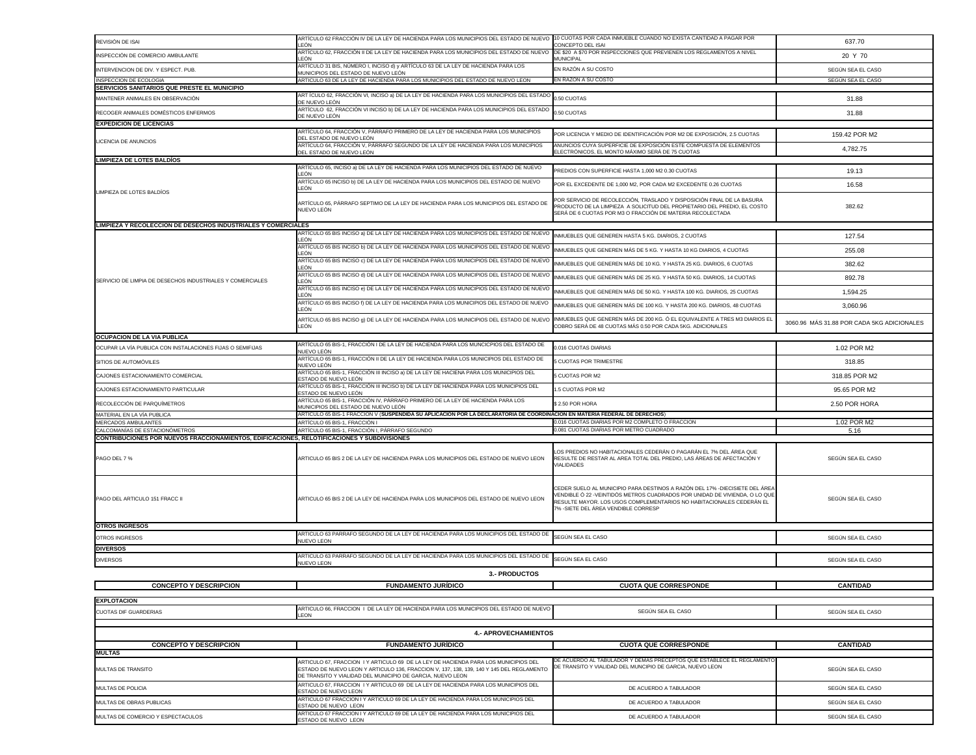| REVISIÓN DE ISAI                                                                                   | ARTÍCULO 62 FRACCIÓN IV DE LA LEY DE HACIENDA PARA LOS MUNICIPIOS DEL ESTADO DE NUEVO 10 CUOTAS POR CADA INMUEBLE CUANDO NO EXISTA CANTIDAD A PAGAR POR<br>LEÓN                                                                               | CONCEPTO DEL ISAI                                                                                                                                                                                                                                                          | 637.70                                     |
|----------------------------------------------------------------------------------------------------|-----------------------------------------------------------------------------------------------------------------------------------------------------------------------------------------------------------------------------------------------|----------------------------------------------------------------------------------------------------------------------------------------------------------------------------------------------------------------------------------------------------------------------------|--------------------------------------------|
| INSPECCIÓN DE COMERCIO AMBULANTE                                                                   | ARTÍCULO 62, FRACCIÓN II DE LA LEY DE HACIENDA PARA LOS MUNICIPIOS DEL ESTADO DE NUEV<br>LEÓN                                                                                                                                                 | DE \$20 A \$70 POR INSPECCIONES QUE PREVIENEN LOS REGLAMENTOS A NIVEL<br><b>MUNICIPAL</b>                                                                                                                                                                                  | 20 Y 70                                    |
| INTERVENCION DE DIV. Y ESPECT. PUB.                                                                | ARTÍCULO 31 BIS, NÚMERO I, INCISO d) y ARTÍCULO 63 DE LA LEY DE HACIENDA PARA LOS                                                                                                                                                             | EN RAZÓN A SU COSTO                                                                                                                                                                                                                                                        | SEGÚN SEA EL CASO                          |
| INSPECCION DE ECOLOGIA                                                                             | MUNICIPIOS DEL ESTADO DE NUEVO LEÓN<br>ARTICULO 63 DE LA LEY DE HACIENDA PARA LOS MUNICIPIOS DEL ESTADO DE NUEVO LEON                                                                                                                         | EN RAZÓN A SU COSTO                                                                                                                                                                                                                                                        | SEGÚN SEA EL CASO                          |
| SERVICIOS SANITARIOS QUE PRESTE EL MUNICIPIO                                                       | ART ÍCULO 62, FRACCIÓN VI, INCISO a) DE LA LEY DE HACIENDA PARA LOS MUNICIPIOS DEL ESTADO 0.50 CUOTAS                                                                                                                                         |                                                                                                                                                                                                                                                                            |                                            |
| MANTENER ANIMALES EN OBSERVACIÓN                                                                   | DE NUEVO LEÓN                                                                                                                                                                                                                                 |                                                                                                                                                                                                                                                                            | 31.88                                      |
| RECOGER ANIMALES DOMÉSTICOS ENFERMOS                                                               | ARTÍCULO 62, FRACCIÓN VI INCISO b) DE LA LEY DE HACIENDA PARA LOS MUNICIPIOS DEL ESTADO<br>DE NUEVO LEÓN                                                                                                                                      | 0.50 CUOTAS                                                                                                                                                                                                                                                                | 31.88                                      |
| <b>EXPEDICION DE LICENCIAS</b>                                                                     | ARTÍCULO 64, FRACCIÓN V, PÁRRAFO PRIMERO DE LA LEY DE HACIENDA PARA LOS MUNICIPIOS                                                                                                                                                            | POR LICENCIA Y MEDIO DE IDENTIFICACIÓN POR M2 DE EXPOSICIÓN, 2.5 CUOTAS                                                                                                                                                                                                    |                                            |
| LICENCIA DE ANUNCIOS                                                                               | DEL ESTADO DE NUEVO LEÓN<br>ARTÍCULO 64, FRACCIÓN V, PÁRRAFO SEGUNDO DE LA LEY DE HACIENDA PARA LOS MUNICIPIOS                                                                                                                                | ANUNCIOS CUYA SUPERFICIE DE EXPOSICIÓN ESTE COMPUESTA DE ELEMENTOS                                                                                                                                                                                                         | 159.42 POR M2                              |
|                                                                                                    | DEL ESTADO DE NUEVO LEÓN                                                                                                                                                                                                                      | ELECTRÓNICOS, EL MONTO MÁXIMO SERÁ DE 75 CUOTAS                                                                                                                                                                                                                            | 4,782.75                                   |
| <b>LIMPIEZA DE LOTES BALDÍOS</b>                                                                   | ARTÍCULO 65, INCISO a) DE LA LEY DE HACIENDA PARA LOS MUNICIPIOS DEL ESTADO DE NUEVO                                                                                                                                                          | PREDIOS CON SUPERFICIE HASTA 1,000 M2 0.30 CUOTAS                                                                                                                                                                                                                          | 19.13                                      |
|                                                                                                    | LEÓN<br>ARTÍCULO 65 INCISO b) DE LA LEY DE HACIENDA PARA LOS MUNICIPIOS DEL ESTADO DE NUEVO                                                                                                                                                   | POR EL EXCEDENTE DE 1,000 M2, POR CADA M2 EXCEDENTE 0.26 CUOTAS                                                                                                                                                                                                            |                                            |
| LIMPIEZA DE LOTES BALDÍOS                                                                          | _EÓN                                                                                                                                                                                                                                          |                                                                                                                                                                                                                                                                            | 16.58                                      |
|                                                                                                    | ARTÍCULO 65, PÁRRAFO SEPTIMO DE LA LEY DE HACIENDA PARA LOS MUNICIPIOS DEL ESTADO DE<br>NUEVO LEÓN                                                                                                                                            | POR SERVICIO DE RECOLECCIÓN, TRASLADO Y DISPOSICIÓN FINAL DE LA BASURA<br>PRODUCTO DE LA LIMPIEZA A SOLICITUD DEL PROPIETARIO DEL PREDIO, EL COSTO<br>SERÁ DE 6 CUOTAS POR M3 O FRACCIÓN DE MATERIA RECOLECTADA                                                            | 382.62                                     |
| LIMPIEZA Y RECOLECCION DE DESECHOS INDUSTRIALES Y COMERCIALES                                      |                                                                                                                                                                                                                                               |                                                                                                                                                                                                                                                                            |                                            |
|                                                                                                    | <br> ARTÍCULO 65 BIS INCISO a) DE LA LEY DE HACIENDA PARA LOS MUNICIPIOS DEL ESTADO DE NUEVO   INMUEBLES QUE GENEREN HASTA 5 KG. DIARIOS, 2 CUOTAS<br>LEÓN                                                                                    |                                                                                                                                                                                                                                                                            | 127.54                                     |
|                                                                                                    | ARTÍCULO 65 BIS INCISO b) DE LA LEY DE HACIENDA PARA LOS MUNICIPIOS DEL ESTADO DE NUEVO<br>_EÓN                                                                                                                                               | INMUEBLES QUE GENEREN MÁS DE 5 KG. Y HASTA 10 KG DIARIOS, 4 CUOTAS                                                                                                                                                                                                         | 255.08                                     |
|                                                                                                    | ARTÍCULO 65 BIS INCISO c) DE LA LEY DE HACIENDA PARA LOS MUNICIPIOS DEL ESTADO DE NUEVO<br>LEÓN.                                                                                                                                              | INMUEBLES QUE GENEREN MÁS DE 10 KG. Y HASTA 25 KG. DIARIOS, 6 CUOTAS                                                                                                                                                                                                       | 382.62                                     |
| SERVICIO DE LIMPIA DE DESECHOS INDUSTRIALES Y COMERCIALES                                          | ARTÍCULO 65 BIS INCISO d) DE LA LEY DE HACIENDA PARA LOS MUNICIPIOS DEL ESTADO DE NUEVO<br>LEÓN                                                                                                                                               | INMUEBLES QUE GENEREN MÁS DE 25 KG. Y HASTA 50 KG. DIARIOS, 14 CUOTAS                                                                                                                                                                                                      | 892.78                                     |
|                                                                                                    | ARTÍCULO 65 BIS INCISO e) DE LA LEY DE HACIENDA PARA LOS MUNICIPIOS DEL ESTADO DE NUEVO<br>LEÓN                                                                                                                                               | INMUEBLES QUE GENEREN MÁS DE 50 KG. Y HASTA 100 KG. DIARIOS, 25 CUOTAS                                                                                                                                                                                                     | 1,594.25                                   |
|                                                                                                    | ARTÍCULO 65 BIS INCISO f) DE LA LEY DE HACIENDA PARA LOS MUNICIPIOS DEL ESTADO DE NUEVO                                                                                                                                                       | INMUEBLES QUE GENEREN MÁS DE 100 KG. Y HASTA 200 KG. DIARIOS, 48 CUOTAS                                                                                                                                                                                                    | 3,060.96                                   |
|                                                                                                    | _EÓN<br>ARTÍCULO 65 BIS INCISO 9) DE LA LEY DE HACIENDA PARA LOS MUNICIPIOS DEL ESTADO DE NUEVO INMUEBLES QUE GENEREN MÁS DE 200 KG. Ó EL EQUIVALENTE A TRES M3 DIARIOS EL                                                                    |                                                                                                                                                                                                                                                                            |                                            |
|                                                                                                    | LEÓN                                                                                                                                                                                                                                          | COBRO SERÁ DE 48 CUOTAS MÁS 0.50 POR CADA 5KG. ADICIONALES                                                                                                                                                                                                                 | 3060.96 MÁS 31.88 POR CADA 5KG ADICIONALES |
| <b>OCUPACION DE LA VIA PUBLICA</b>                                                                 | ARTÍCULO 65 BIS-1, FRACCIÓN I DE LA LEY DE HACIENDA PARA LOS MUNCICPIOS DEL ESTADO DE                                                                                                                                                         |                                                                                                                                                                                                                                                                            |                                            |
| OCUPAR LA VÍA PUBLICA CON INSTALACIONES FIJAS O SEMIFIJAS                                          | NUEVO LEÓN<br>ARTÍCULO 65 BIS-1, FRACCIÓN II DE LA LEY DE HACIENDA PARA LOS MUNICIPIOS DEL ESTADO DE                                                                                                                                          | 0.016 CUOTAS DIARIAS                                                                                                                                                                                                                                                       | 1.02 POR M2                                |
| SITIOS DE AUTOMÓVILES                                                                              | NUEVO LEÓN                                                                                                                                                                                                                                    | 5 CUOTAS POR TRIMESTRE                                                                                                                                                                                                                                                     | 318.85                                     |
| CAJONES ESTACIONAMIENTO COMERCIAL                                                                  | ARTÍCULO 65 BIS-1, FRACCIÓN III INCISO a) DE LA LEY DE HACIENA PARA LOS MUNICIPIOS DEL<br>ESTADO DE NUEVO LEÓN                                                                                                                                | 5 CUOTAS POR M2                                                                                                                                                                                                                                                            | 318.85 POR M2                              |
| CAJONES ESTACIONAMIENTO PARTICULAR                                                                 | ARTÍCULO 65 BIS-1, FRACCIÓN III INCISO b) DE LA LEY DE HACIENDA PARA LOS MUNICIPIOS DEL<br>ESTADO DE NUEVO LEÓN                                                                                                                               | 1.5 CUOTAS POR M2                                                                                                                                                                                                                                                          | 95.65 POR M2                               |
| RECOLECCIÓN DE PARQUÍMETROS                                                                        | ARTÍCULO 65 BIS-1, FRACCIÓN IV, PÁRRAFO PRIMERO DE LA LEY DE HACIENDA PARA LOS<br>MUNICIPIOS DEL ESTADO DE NUEVO LEÓN                                                                                                                         | \$2.50 POR HORA                                                                                                                                                                                                                                                            | 2.50 POR HORA                              |
| MATERIAL EN LA VÍA PUBLICA                                                                         | ARTÍCULO 65 BIS-1 FRACCIÓN V (SUSPENDIDA SU APLICACIÓN POR LA DECLARATORIA DE COORDINACIÓN EN MATERIA FEDERAL DE DERECHOS)                                                                                                                    |                                                                                                                                                                                                                                                                            |                                            |
| MERCADOS AMBULANTES                                                                                | ARTÍCULO 65 BIS-1, FRACCIÓN I                                                                                                                                                                                                                 | 0.016 CUOTAS DIARIAS POR M2 COMPLETO O FRACCION                                                                                                                                                                                                                            | 1.02 POR M2                                |
| CALCOMANÍAS DE ESTACIONÓMETROS                                                                     | ARTÍCULO 65 BIS-1, FRACCIÓN I, PÁRRAFO SEGUNDO                                                                                                                                                                                                | 0.081 CUOTAS DIARIAS POR METRO CUADRADO                                                                                                                                                                                                                                    | 5.16                                       |
| <b>CONTRIBUCIONES POR NUEVOS FRACCIONAMIENTOS, EDIFICACIONES, RELOTIFICACIONES Y SUBDIVISIONES</b> |                                                                                                                                                                                                                                               |                                                                                                                                                                                                                                                                            |                                            |
| PAGO DEL 7 %                                                                                       | ARTICULO 65 BIS 2 DE LA LEY DE HACIENDA PARA LOS MUNICIPIOS DEL ESTADO DE NUEVO LEON                                                                                                                                                          | LOS PREDIOS NO HABITACIONALES CEDERÁN O PAGARÁN EL 7% DEL ÁREA QUE<br>RESULTE DE RESTAR AL AREA TOTAL DEL PREDIO, LAS ÁREAS DE AFECTACIÓN Y<br><b>VIALIDADES</b>                                                                                                           | SEGÚN SEA EL CASO                          |
| PAGO DEL ARTICULO 151 FRACC II<br><b>OTROS INGRESOS</b>                                            | ARTICULO 65 BIS 2 DE LA LEY DE HACIENDA PARA LOS MUNICIPIOS DEL ESTADO DE NUEVO LEON                                                                                                                                                          | CEDER SUELO AL MUNICIPIO PARA DESTINOS A RAZÓN DEL 17% - DIECISIETE DEL ÁREA<br>VENDIBLE Ó 22 -VEINTIDÓS METROS CUADRADOS POR UNIDAD DE VIVIENDA, O LO QUE<br>RESULTE MAYOR. LOS USOS COMPLEMENTARIOS NO HABITACIONALES CEDERÁN EL<br>7% - SIETE DEL ÁREA VENDIBLE CORRESP | SEGÚN SEA EL CASO                          |
| OTROS INGRESOS                                                                                     | ARTICULO 63 PARRAFO SEGUNDO DE LA LEY DE HACIENDA PARA LOS MUNICIPIOS DEL ESTADO DE                                                                                                                                                           | SEGÚN SEA EL CASO                                                                                                                                                                                                                                                          | SEGÚN SEA EL CASO                          |
| <b>DIVERSOS</b>                                                                                    | <b>NUEVO LEON</b>                                                                                                                                                                                                                             |                                                                                                                                                                                                                                                                            |                                            |
| <b>DIVERSOS</b>                                                                                    | ARTICULO 63 PARRAFO SEGUNDO DE LA LEY DE HACIENDA PARA LOS MUNICIPIOS DEL ESTADO DE<br><b>NUEVO LEON</b>                                                                                                                                      | SEGÚN SEA EL CASO                                                                                                                                                                                                                                                          | SEGÚN SEA EL CASO                          |
|                                                                                                    | <b>3.- PRODUCTOS</b>                                                                                                                                                                                                                          |                                                                                                                                                                                                                                                                            |                                            |
| <b>CONCEPTO Y DESCRIPCION</b>                                                                      | <b>FUNDAMENTO JURÍDICO</b>                                                                                                                                                                                                                    | <b>CUOTA QUE CORRESPONDE</b>                                                                                                                                                                                                                                               | <b>CANTIDAD</b>                            |
|                                                                                                    |                                                                                                                                                                                                                                               |                                                                                                                                                                                                                                                                            |                                            |
| <b>EXPLOTACION</b>                                                                                 |                                                                                                                                                                                                                                               |                                                                                                                                                                                                                                                                            |                                            |
| <b>CUOTAS DIF GUARDERIAS</b>                                                                       | ARTICULO 66, FRACCION I DE LA LEY DE HACIENDA PARA LOS MUNICIPIOS DEL ESTADO DE NUEVO<br><b>LEON</b>                                                                                                                                          | SEGÚN SEA EL CASO                                                                                                                                                                                                                                                          | SEGÚN SEA EL CASO                          |
|                                                                                                    |                                                                                                                                                                                                                                               |                                                                                                                                                                                                                                                                            |                                            |
|                                                                                                    | <b>4.- APROVECHAMIENTOS</b>                                                                                                                                                                                                                   |                                                                                                                                                                                                                                                                            |                                            |
| <b>CONCEPTO Y DESCRIPCION</b><br><b>MULTAS</b>                                                     | <b>FUNDAMENTO JURÍDICO</b>                                                                                                                                                                                                                    | <b>CUOTA QUE CORRESPONDE</b>                                                                                                                                                                                                                                               | <b>CANTIDAD</b>                            |
| <b>MULTAS DE TRANSITO</b>                                                                          | ARTICULO 67, FRACCION I Y ARTICULO 69 DE LA LEY DE HACIENDA PARA LOS MUNICIPIOS DEL<br>ESTADO DE NUEVO LEON Y ARTICULO 136, FRACCION V, 137, 138, 139, 140 Y 145 DEL REGLAMENTO<br>DE TRANSITO Y VIALIDAD DEL MUNICIPIO DE GARCIA, NUEVO LEON | DE ACUERDO AL TABULADOR Y DEMAS PRECEPTOS QUE ESTABLECE EL REGLAMENTO<br>DE TRANSITO Y VIALIDAD DEL MUNCIPIO DE GARCIA, NUEVO LEON                                                                                                                                         | SEGÚN SEA EL CASO                          |
| <b>MULTAS DE POLICIA</b>                                                                           | ARTICULO 67, FRACCION I Y ARTICULO 69 DE LA LEY DE HACIENDA PARA LOS MUNICIPIOS DEL<br>ESTADO DE NUEVO LEON                                                                                                                                   | DE ACUERDO A TABULADOR                                                                                                                                                                                                                                                     | SEGÚN SEA EL CASO                          |
| MULTAS DE OBRAS PUBLICAS                                                                           | ARTICULO 67 FRACCION I Y ARTICULO 69 DE LA LEY DE HACIENDA PARA LOS MUNICIPIOS DEL                                                                                                                                                            | DE ACUERDO A TABULADOR                                                                                                                                                                                                                                                     | SEGÚN SEA EL CASO                          |
| MULTAS DE COMERCIO Y ESPECTACULOS                                                                  | ESTADO DE NUEVO LEON<br>ARTICULO 67 FRACCION I Y ARTICULO 69 DE LA LEY DE HACIENDA PARA LOS MUNICIPIOS DEL                                                                                                                                    | DE ACUERDO A TABULADOR                                                                                                                                                                                                                                                     | SEGÚN SEA EL CASO                          |
|                                                                                                    | ESTADO DE NUEVO LEON                                                                                                                                                                                                                          |                                                                                                                                                                                                                                                                            |                                            |